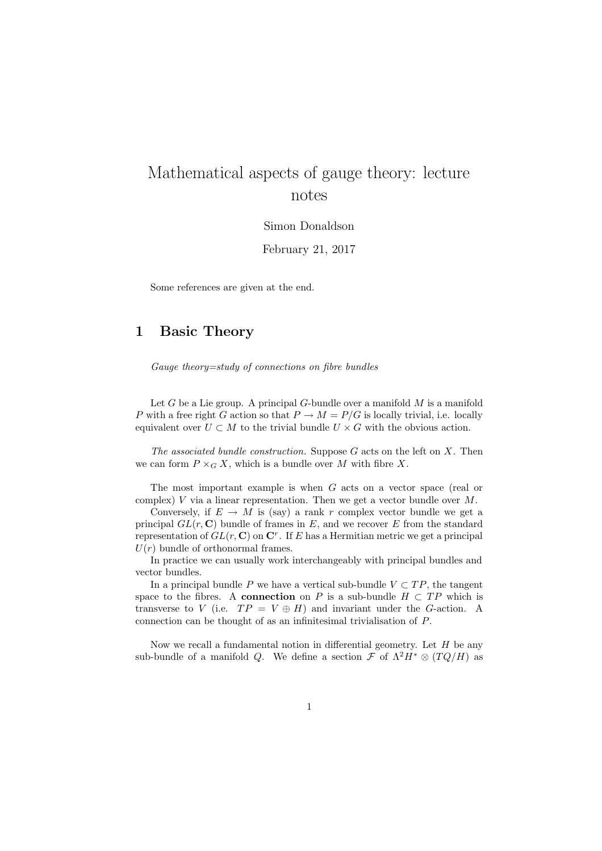# Mathematical aspects of gauge theory: lecture notes

Simon Donaldson

February 21, 2017

Some references are given at the end.

## 1 Basic Theory

Gauge theory=study of connections on fibre bundles

Let  $G$  be a Lie group. A principal  $G$ -bundle over a manifold  $M$  is a manifold P with a free right G action so that  $P \to M = P/G$  is locally trivial, i.e. locally equivalent over  $U \subset M$  to the trivial bundle  $U \times G$  with the obvious action.

The associated bundle construction. Suppose  $G$  acts on the left on  $X$ . Then we can form  $P \times_G X$ , which is a bundle over M with fibre X.

The most important example is when G acts on a vector space (real or complex)  $V$  via a linear representation. Then we get a vector bundle over  $M$ .

Conversely, if  $E \to M$  is (say) a rank r complex vector bundle we get a principal  $GL(r, \mathbb{C})$  bundle of frames in E, and we recover E from the standard representation of  $GL(r, \mathbb{C})$  on  $\mathbb{C}^r$ . If E has a Hermitian metric we get a principal  $U(r)$  bundle of orthonormal frames.

In practice we can usually work interchangeably with principal bundles and vector bundles.

In a principal bundle P we have a vertical sub-bundle  $V \subset TP$ , the tangent space to the fibres. A connection on P is a sub-bundle  $H \subset TP$  which is transverse to V (i.e.  $TP = V \oplus H$ ) and invariant under the G-action. A connection can be thought of as an infinitesimal trivialisation of P.

Now we recall a fundamental notion in differential geometry. Let  $H$  be any sub-bundle of a manifold Q. We define a section  $\mathcal F$  of  $\Lambda^2 H^* \otimes (TQ/H)$  as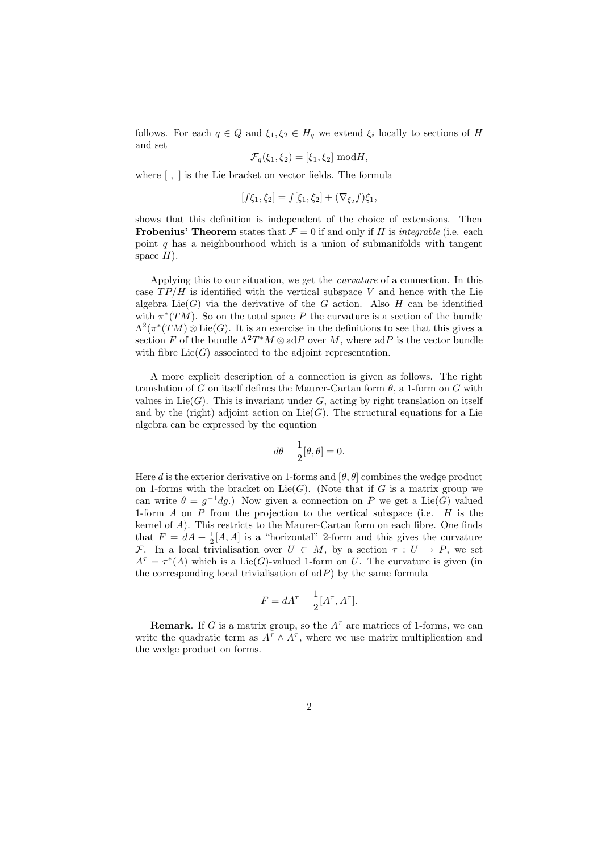follows. For each  $q \in Q$  and  $\xi_1, \xi_2 \in H_q$  we extend  $\xi_i$  locally to sections of H and set

$$
\mathcal{F}_q(\xi_1, \xi_2) = [\xi_1, \xi_2] \text{ mod } H,
$$

where [ , ] is the Lie bracket on vector fields. The formula

$$
[f\xi_1,\xi_2] = f[\xi_1,\xi_2] + (\nabla_{\xi_2}f)\xi_1,
$$

shows that this definition is independent of the choice of extensions. Then **Frobenius' Theorem** states that  $\mathcal{F} = 0$  if and only if H is *integrable* (i.e. each point q has a neighbourhood which is a union of submanifolds with tangent space  $H$ ).

Applying this to our situation, we get the curvature of a connection. In this case  $TP/H$  is identified with the vertical subspace V and hence with the Lie algebra  $Lie(G)$  via the derivative of the G action. Also H can be identified with  $\pi^*(TM)$ . So on the total space P the curvature is a section of the bundle  $\Lambda^2(\pi^*(TM)\otimes \text{Lie}(G))$ . It is an exercise in the definitions to see that this gives a section F of the bundle  $\Lambda^2T^*M\otimes \text{ad}P$  over M, where  $\text{ad}P$  is the vector bundle with fibre  $Lie(G)$  associated to the adjoint representation.

A more explicit description of a connection is given as follows. The right translation of G on itself defines the Maurer-Cartan form  $\theta$ , a 1-form on G with values in  $Lie(G)$ . This is invariant under G, acting by right translation on itself and by the (right) adjoint action on  $Lie(G)$ . The structural equations for a Lie algebra can be expressed by the equation

$$
d\theta + \frac{1}{2}[\theta, \theta] = 0.
$$

Here d is the exterior derivative on 1-forms and  $[\theta, \theta]$  combines the wedge product on 1-forms with the bracket on  $Lie(G)$ . (Note that if G is a matrix group we can write  $\theta = g^{-1}dg$ .) Now given a connection on P we get a Lie(G) valued 1-form  $A$  on  $P$  from the projection to the vertical subspace (i.e.  $H$  is the kernel of A). This restricts to the Maurer-Cartan form on each fibre. One finds that  $F = dA + \frac{1}{2}[A, A]$  is a "horizontal" 2-form and this gives the curvature F. In a local trivialisation over  $U \subset M$ , by a section  $\tau : U \to P$ , we set  $A^{\tau} = \tau^*(A)$  which is a Lie(G)-valued 1-form on U. The curvature is given (in the corresponding local trivialisation of  $adP$ ) by the same formula

$$
F = dA^{\tau} + \frac{1}{2}[A^{\tau}, A^{\tau}].
$$

**Remark**. If G is a matrix group, so the  $A^{\tau}$  are matrices of 1-forms, we can write the quadratic term as  $A^{\tau} \wedge A^{\tau}$ , where we use matrix multiplication and the wedge product on forms.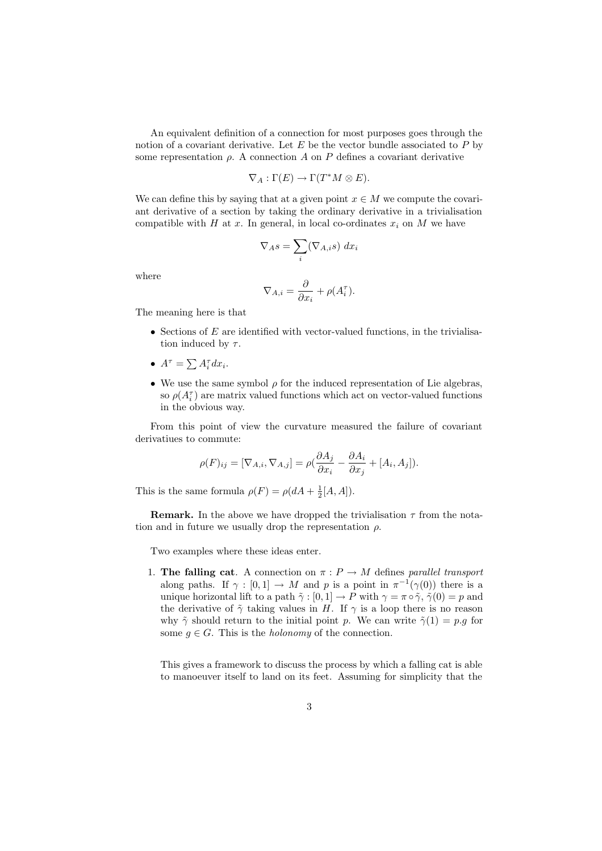An equivalent definition of a connection for most purposes goes through the notion of a covariant derivative. Let  $E$  be the vector bundle associated to  $P$  by some representation  $\rho$ . A connection A on P defines a covariant derivative

$$
\nabla_A:\Gamma(E)\to\Gamma(T^*M\otimes E).
$$

We can define this by saying that at a given point  $x \in M$  we compute the covariant derivative of a section by taking the ordinary derivative in a trivialisation compatible with H at x. In general, in local co-ordinates  $x_i$  on M we have

$$
\nabla_A s = \sum_i (\nabla_{A,i} s) \, dx_i
$$

where

$$
\nabla_{A,i} = \frac{\partial}{\partial x_i} + \rho(A_i^{\tau}).
$$

The meaning here is that

- Sections of  $E$  are identified with vector-valued functions, in the trivialisation induced by  $\tau$ .
- $A^{\tau} = \sum A_i^{\tau} dx_i$ .
- We use the same symbol  $\rho$  for the induced representation of Lie algebras, so  $\rho(A_i^{\tau})$  are matrix valued functions which act on vector-valued functions in the obvious way.

From this point of view the curvature measured the failure of covariant derivatiues to commute:

$$
\rho(F)_{ij} = [\nabla_{A,i}, \nabla_{A,j}] = \rho(\frac{\partial A_j}{\partial x_i} - \frac{\partial A_i}{\partial x_j} + [A_i, A_j]).
$$

This is the same formula  $\rho(F) = \rho(dA + \frac{1}{2}[A, A]).$ 

**Remark.** In the above we have dropped the trivialisation  $\tau$  from the notation and in future we usually drop the representation  $\rho$ .

Two examples where these ideas enter.

1. The falling cat. A connection on  $\pi : P \to M$  defines parallel transport along paths. If  $\gamma : [0,1] \to M$  and p is a point in  $\pi^{-1}(\gamma(0))$  there is a unique horizontal lift to a path  $\tilde{\gamma} : [0, 1] \to P$  with  $\gamma = \pi \circ \tilde{\gamma}, \tilde{\gamma}(0) = p$  and the derivative of  $\tilde{\gamma}$  taking values in H. If  $\gamma$  is a loop there is no reason why  $\tilde{\gamma}$  should return to the initial point p. We can write  $\tilde{\gamma}(1) = p.q$  for some  $q \in G$ . This is the *holonomy* of the connection.

This gives a framework to discuss the process by which a falling cat is able to manoeuver itself to land on its feet. Assuming for simplicity that the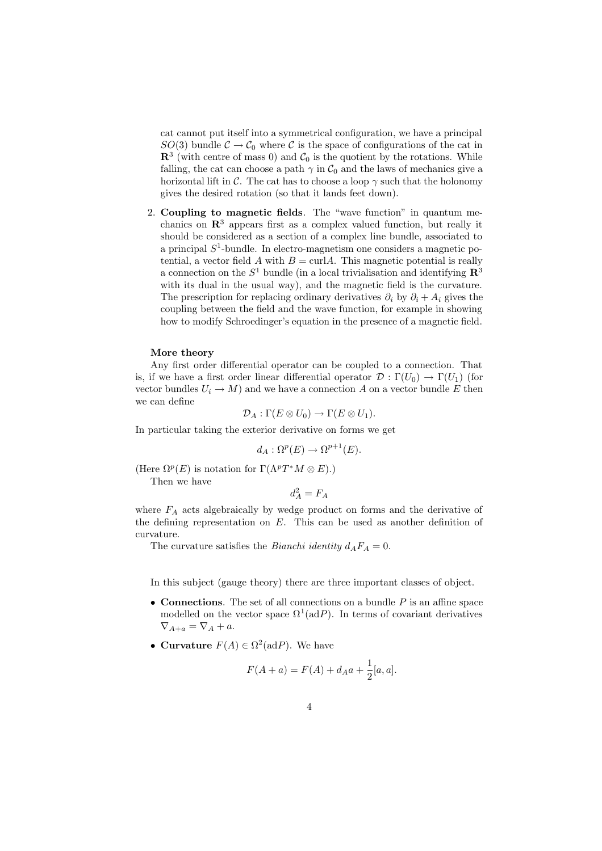cat cannot put itself into a symmetrical configuration, we have a principal  $SO(3)$  bundle  $C \rightarrow C_0$  where C is the space of configurations of the cat in  $\mathbb{R}^3$  (with centre of mass 0) and  $\mathcal{C}_0$  is the quotient by the rotations. While falling, the cat can choose a path  $\gamma$  in  $\mathcal{C}_0$  and the laws of mechanics give a horizontal lift in C. The cat has to choose a loop  $\gamma$  such that the holonomy gives the desired rotation (so that it lands feet down).

2. Coupling to magnetic fields. The "wave function" in quantum mechanics on  $\mathbb{R}^3$  appears first as a complex valued function, but really it should be considered as a section of a complex line bundle, associated to a principal  $S^1$ -bundle. In electro-magnetism one considers a magnetic potential, a vector field A with  $B = \text{curl}A$ . This magnetic potential is really a connection on the  $S^1$  bundle (in a local trivialisation and identifying  $\mathbb{R}^3$ with its dual in the usual way), and the magnetic field is the curvature. The prescription for replacing ordinary derivatives  $\partial_i$  by  $\partial_i + A_i$  gives the coupling between the field and the wave function, for example in showing how to modify Schroedinger's equation in the presence of a magnetic field.

## More theory

Any first order differential operator can be coupled to a connection. That is, if we have a first order linear differential operator  $\mathcal{D} : \Gamma(U_0) \to \Gamma(U_1)$  (for vector bundles  $U_i \to M$ ) and we have a connection A on a vector bundle E then we can define

$$
\mathcal{D}_A: \Gamma(E \otimes U_0) \to \Gamma(E \otimes U_1).
$$

In particular taking the exterior derivative on forms we get

$$
d_A: \Omega^p(E) \to \Omega^{p+1}(E).
$$

(Here  $\Omega^p(E)$  is notation for  $\Gamma(\Lambda^pT^*M\otimes E)$ .)

Then we have

 $d_A^2 = F_A$ 

where  $F_A$  acts algebraically by wedge product on forms and the derivative of the defining representation on  $E$ . This can be used as another definition of curvature.

The curvature satisfies the *Bianchi identity*  $d_A F_A = 0$ .

In this subject (gauge theory) there are three important classes of object.

- Connections. The set of all connections on a bundle  $P$  is an affine space modelled on the vector space  $\Omega^1(\text{ad}P)$ . In terms of covariant derivatives  $\nabla_{A+a} = \nabla_A + a.$
- Curvature  $F(A) \in \Omega^2(\text{ad}P)$ . We have

$$
F(A + a) = F(A) + d_A a + \frac{1}{2}[a, a].
$$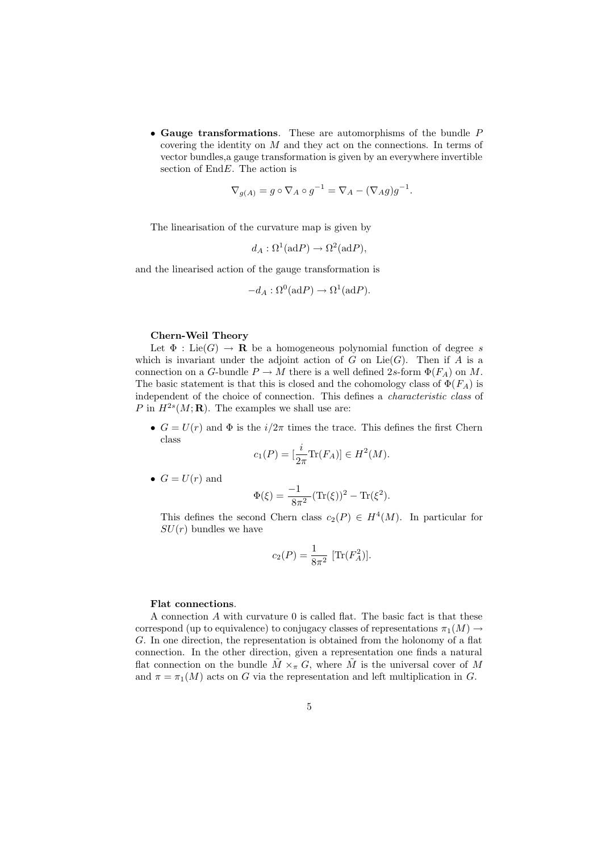• Gauge transformations. These are automorphisms of the bundle P covering the identity on  $M$  and they act on the connections. In terms of vector bundles,a gauge transformation is given by an everywhere invertible section of  $EndE$ . The action is

$$
\nabla_{g(A)} = g \circ \nabla_A \circ g^{-1} = \nabla_A - (\nabla_A g)g^{-1}.
$$

The linearisation of the curvature map is given by

$$
d_A: \Omega^1(\mathrm{ad}P) \to \Omega^2(\mathrm{ad}P),
$$

and the linearised action of the gauge transformation is

$$
-d_A:\Omega^0(\mathrm{ad}P)\to\Omega^1(\mathrm{ad}P).
$$

## Chern-Weil Theory

Let  $\Phi$ : Lie(G)  $\to \mathbf{R}$  be a homogeneous polynomial function of degree s which is invariant under the adjoint action of G on  $Lie(G)$ . Then if A is a connection on a G-bundle  $P \to M$  there is a well defined 2s-form  $\Phi(F_A)$  on M. The basic statement is that this is closed and the cohomology class of  $\Phi(F_A)$  is independent of the choice of connection. This defines a characteristic class of P in  $H^{2s}(M;{\bf R})$ . The examples we shall use are:

•  $G = U(r)$  and  $\Phi$  is the  $i/2\pi$  times the trace. This defines the first Chern class

$$
c_1(P) = \left[\frac{i}{2\pi}\text{Tr}(F_A)\right] \in H^2(M).
$$

•  $G = U(r)$  and

$$
\Phi(\xi) = \frac{-1}{8\pi^2} (\text{Tr}(\xi))^2 - \text{Tr}(\xi^2).
$$

This defines the second Chern class  $c_2(P) \in H^4(M)$ . In particular for  $SU(r)$  bundles we have

$$
c_2(P) = \frac{1}{8\pi^2} \left[ \text{Tr}(F_A^2) \right].
$$

## Flat connections.

A connection  $A$  with curvature  $0$  is called flat. The basic fact is that these correspond (up to equivalence) to conjugacy classes of representations  $\pi_1(M) \rightarrow$ G. In one direction, the representation is obtained from the holonomy of a flat connection. In the other direction, given a representation one finds a natural flat connection on the bundle  $\tilde{M} \times_{\pi} G$ , where  $\tilde{M}$  is the universal cover of M and  $\pi = \pi_1(M)$  acts on G via the representation and left multiplication in G.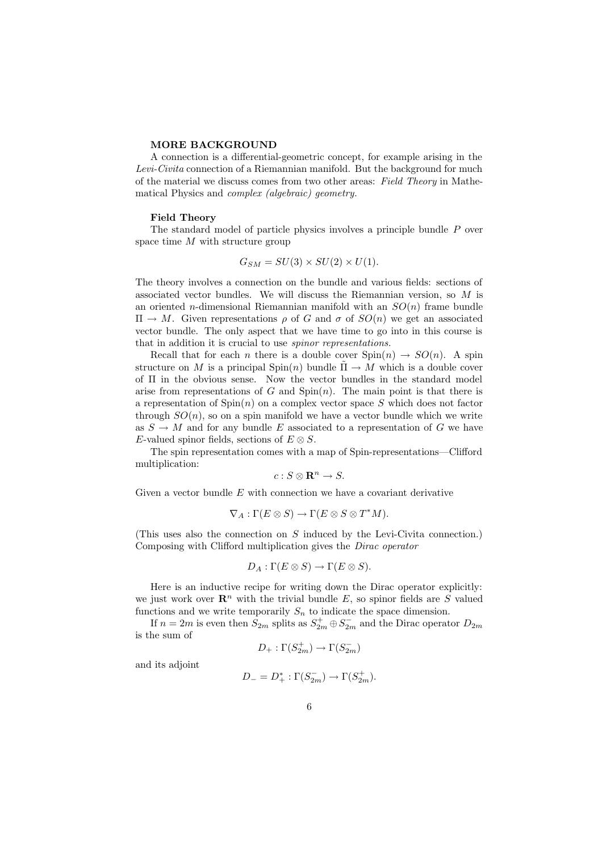#### MORE BACKGROUND

A connection is a differential-geometric concept, for example arising in the Levi-Civita connection of a Riemannian manifold. But the background for much of the material we discuss comes from two other areas: Field Theory in Mathematical Physics and complex (algebraic) geometry.

### Field Theory

The standard model of particle physics involves a principle bundle P over space time M with structure group

$$
G_{SM} = SU(3) \times SU(2) \times U(1).
$$

The theory involves a connection on the bundle and various fields: sections of associated vector bundles. We will discuss the Riemannian version, so M is an oriented *n*-dimensional Riemannian manifold with an  $SO(n)$  frame bundle  $\Pi \to M$ . Given representations  $\rho$  of G and  $\sigma$  of  $SO(n)$  we get an associated vector bundle. The only aspect that we have time to go into in this course is that in addition it is crucial to use spinor representations.

Recall that for each *n* there is a double cover  $Spin(n) \rightarrow SO(n)$ . A spin structure on M is a principal  $\text{Spin}(n)$  bundle  $\Pi \to M$  which is a double cover of Π in the obvious sense. Now the vector bundles in the standard model arise from representations of  $G$  and  $Spin(n)$ . The main point is that there is a representation of  $Spin(n)$  on a complex vector space S which does not factor through  $SO(n)$ , so on a spin manifold we have a vector bundle which we write as  $S \to M$  and for any bundle E associated to a representation of G we have E-valued spinor fields, sections of  $E \otimes S$ .

The spin representation comes with a map of Spin-representations—Clifford multiplication:

$$
c: S \otimes \mathbf{R}^n \to S.
$$

Given a vector bundle  $E$  with connection we have a covariant derivative

$$
\nabla_A:\Gamma(E\otimes S)\to \Gamma(E\otimes S\otimes T^*M).
$$

(This uses also the connection on S induced by the Levi-Civita connection.) Composing with Clifford multiplication gives the Dirac operator

$$
D_A: \Gamma(E \otimes S) \to \Gamma(E \otimes S).
$$

Here is an inductive recipe for writing down the Dirac operator explicitly: we just work over  $\mathbb{R}^n$  with the trivial bundle E, so spinor fields are S valued functions and we write temporarily  $S_n$  to indicate the space dimension.

If  $n = 2m$  is even then  $S_{2m}$  splits as  $S_{2m}^+ \oplus S_{2m}^-$  and the Dirac operator  $D_{2m}$ is the sum of

$$
D_+:\Gamma(S_{2m}^+)\to \Gamma(S_{2m}^-)
$$

and its adjoint

$$
D_{-} = D_{+}^{*} : \Gamma(S_{2m}^{-}) \to \Gamma(S_{2m}^{+}).
$$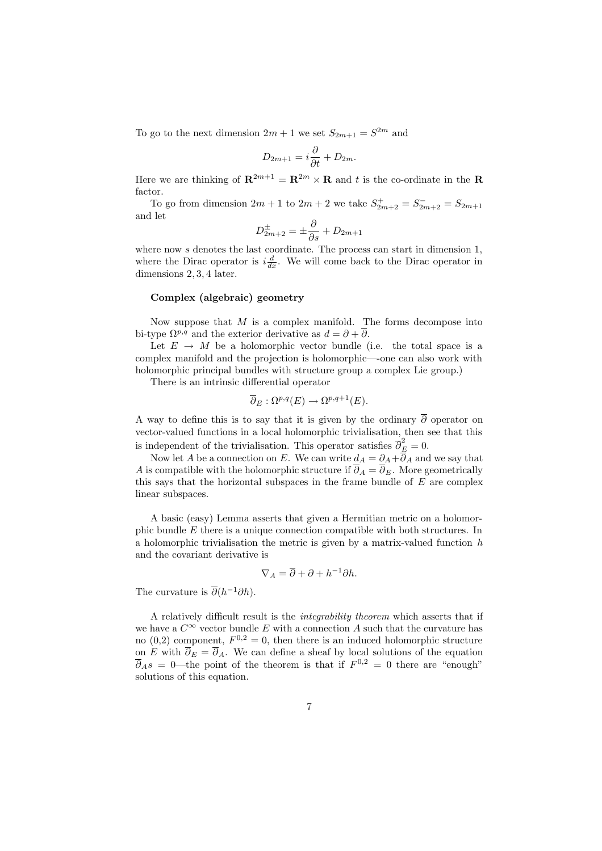To go to the next dimension  $2m + 1$  we set  $S_{2m+1} = S^{2m}$  and

$$
D_{2m+1} = i\frac{\partial}{\partial t} + D_{2m}.
$$

Here we are thinking of  $\mathbf{R}^{2m+1} = \mathbf{R}^{2m} \times \mathbf{R}$  and t is the co-ordinate in the  $\mathbf{R}$ factor.

To go from dimension  $2m + 1$  to  $2m + 2$  we take  $S_{2m+2}^+ = S_{2m+2}^- = S_{2m+1}$ and let

$$
D_{2m+2}^{\pm} = \pm \frac{\partial}{\partial s} + D_{2m+1}
$$

where now s denotes the last coordinate. The process can start in dimension 1, where the Dirac operator is  $i\frac{d}{dx}$ . We will come back to the Dirac operator in dimensions 2, 3, 4 later.

## Complex (algebraic) geometry

Now suppose that  $M$  is a complex manifold. The forms decompose into bi-type  $\Omega^{p,q}$  and the exterior derivative as  $d = \partial + \partial$ .

Let  $E \rightarrow M$  be a holomorphic vector bundle (i.e. the total space is a complex manifold and the projection is holomorphic—-one can also work with holomorphic principal bundles with structure group a complex Lie group.)

There is an intrinsic differential operator

$$
\overline{\partial}_E : \Omega^{p,q}(E) \to \Omega^{p,q+1}(E).
$$

A way to define this is to say that it is given by the ordinary  $\overline{\partial}$  operator on vector-valued functions in a local holomorphic trivialisation, then see that this is independent of the trivialisation. This operator satisfies  $\overline{\partial}_{\underline{E}}^2 = 0$ .

Now let A be a connection on E. We can write  $d_A = \partial_A + \partial_A$  and we say that A is compatible with the holomorphic structure if  $\partial_A = \partial_E$ . More geometrically this says that the horizontal subspaces in the frame bundle of  $E$  are complex linear subspaces.

A basic (easy) Lemma asserts that given a Hermitian metric on a holomorphic bundle E there is a unique connection compatible with both structures. In a holomorphic trivialisation the metric is given by a matrix-valued function  $h$ and the covariant derivative is

$$
\nabla_A = \overline{\partial} + \partial + h^{-1}\partial h.
$$

The curvature is  $\overline{\partial}(h^{-1}\partial h)$ .

A relatively difficult result is the integrability theorem which asserts that if we have a  $C^{\infty}$  vector bundle E with a connection A such that the curvature has no (0,2) component,  $F^{0,2} = 0$ , then there is an induced holomorphic structure on E with  $\overline{\partial}_E = \overline{\partial}_A$ . We can define a sheaf by local solutions of the equation  $\overline{\partial}_A s = 0$ —the point of the theorem is that if  $F^{0,2} = 0$  there are "enough" solutions of this equation.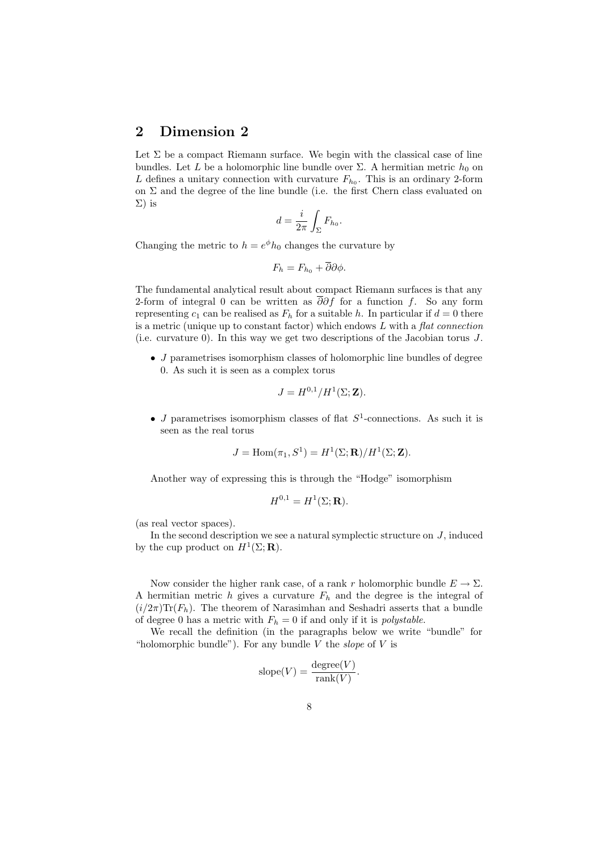## 2 Dimension 2

Let  $\Sigma$  be a compact Riemann surface. We begin with the classical case of line bundles. Let L be a holomorphic line bundle over  $\Sigma$ . A hermitian metric  $h_0$  on L defines a unitary connection with curvature  $F_{h_0}$ . This is an ordinary 2-form on  $\Sigma$  and the degree of the line bundle (i.e. the first Chern class evaluated on Σ) is

$$
d = \frac{i}{2\pi} \int_{\Sigma} F_{h_0}.
$$

Changing the metric to  $h = e^{\phi} h_0$  changes the curvature by

$$
F_h = F_{h_0} + \overline{\partial}\partial\phi.
$$

The fundamental analytical result about compact Riemann surfaces is that any 2-form of integral 0 can be written as  $\overline{\partial}\partial f$  for a function f. So any form representing  $c_1$  can be realised as  $F_h$  for a suitable h. In particular if  $d = 0$  there is a metric (unique up to constant factor) which endows  $L$  with a flat connection (i.e. curvature 0). In this way we get two descriptions of the Jacobian torus J.

• J parametrises isomorphism classes of holomorphic line bundles of degree 0. As such it is seen as a complex torus

$$
J = H^{0,1}/H^1(\Sigma; \mathbf{Z}).
$$

• J parametrises isomorphism classes of flat  $S^1$ -connections. As such it is seen as the real torus

$$
J = \text{Hom}(\pi_1, S^1) = H^1(\Sigma; \mathbf{R}) / H^1(\Sigma; \mathbf{Z}).
$$

Another way of expressing this is through the "Hodge" isomorphism

$$
H^{0,1} = H^1(\Sigma; \mathbf{R}).
$$

(as real vector spaces).

In the second description we see a natural symplectic structure on  $J$ , induced by the cup product on  $H^1(\Sigma; \mathbf{R})$ .

Now consider the higher rank case, of a rank r holomorphic bundle  $E \to \Sigma$ . A hermitian metric h gives a curvature  $F_h$  and the degree is the integral of  $(i/2\pi)$ Tr( $F_h$ ). The theorem of Narasimhan and Seshadri asserts that a bundle of degree 0 has a metric with  $F_h = 0$  if and only if it is *polystable*.

We recall the definition (in the paragraphs below we write "bundle" for "holomorphic bundle"). For any bundle V the *slope* of V is

$$
slope(V) = \frac{degree(V)}{rank(V)}.
$$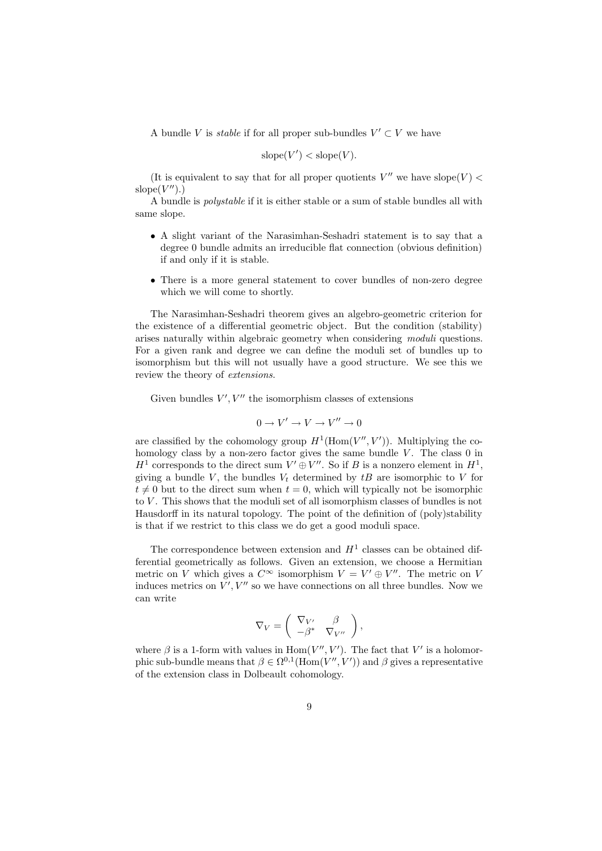A bundle V is *stable* if for all proper sub-bundles  $V' \subset V$  we have

$$
slope(V') < slope(V)
$$
.

(It is equivalent to say that for all proper quotients  $V''$  we have slope(V) < slope $(V'')$ .)

A bundle is polystable if it is either stable or a sum of stable bundles all with same slope.

- A slight variant of the Narasimhan-Seshadri statement is to say that a degree 0 bundle admits an irreducible flat connection (obvious definition) if and only if it is stable.
- There is a more general statement to cover bundles of non-zero degree which we will come to shortly.

The Narasimhan-Seshadri theorem gives an algebro-geometric criterion for the existence of a differential geometric object. But the condition (stability) arises naturally within algebraic geometry when considering moduli questions. For a given rank and degree we can define the moduli set of bundles up to isomorphism but this will not usually have a good structure. We see this we review the theory of extensions.

Given bundles  $V', V''$  the isomorphism classes of extensions

$$
0 \to V' \to V \to V'' \to 0
$$

are classified by the cohomology group  $H^1(\text{Hom}(V'', V'))$ . Multiplying the cohomology class by a non-zero factor gives the same bundle  $V$ . The class  $0$  in  $H^1$  corresponds to the direct sum  $V' \oplus V''$ . So if B is a nonzero element in  $H^1$ , giving a bundle V, the bundles  $V_t$  determined by  $tB$  are isomorphic to V for  $t \neq 0$  but to the direct sum when  $t = 0$ , which will typically not be isomorphic to  $V$ . This shows that the moduli set of all isomorphism classes of bundles is not Hausdorff in its natural topology. The point of the definition of (poly)stability is that if we restrict to this class we do get a good moduli space.

The correspondence between extension and  $H<sup>1</sup>$  classes can be obtained differential geometrically as follows. Given an extension, we choose a Hermitian metric on V which gives a  $C^{\infty}$  isomorphism  $V = V' \oplus V''$ . The metric on V induces metrics on  $V', V''$  so we have connections on all three bundles. Now we can write

$$
\nabla_V = \begin{pmatrix} \nabla_{V'} & \beta \\ -\beta^* & \nabla_{V''} \end{pmatrix},
$$

where  $\beta$  is a 1-form with values in  $\text{Hom}(V'', V')$ . The fact that V' is a holomorphic sub-bundle means that  $\beta \in \Omega^{0,1}(\text{Hom}(V'', V'))$  and  $\beta$  gives a representative of the extension class in Dolbeault cohomology.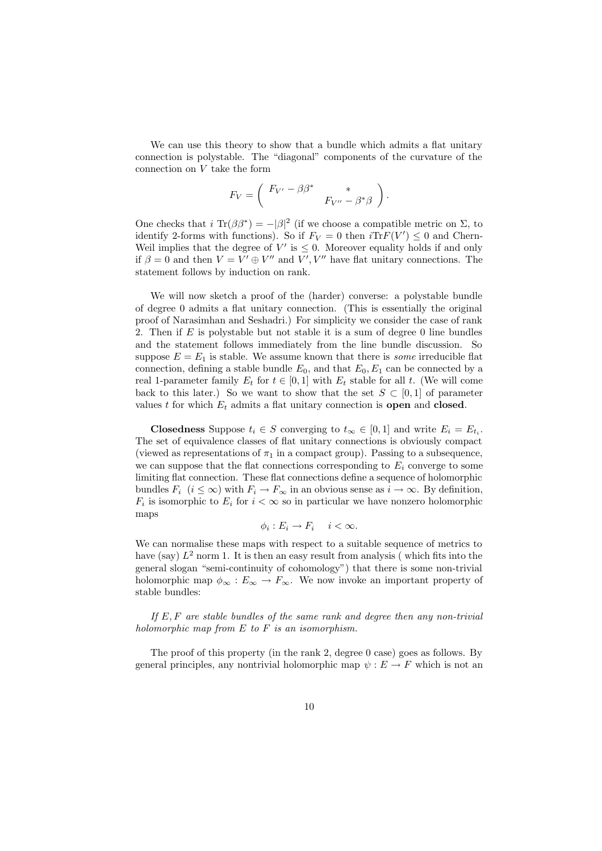We can use this theory to show that a bundle which admits a flat unitary connection is polystable. The "diagonal" components of the curvature of the connection on  $V$  take the form

$$
F_V = \begin{pmatrix} F_{V'} - \beta \beta^* & * \\ & F_{V''} - \beta^* \beta \end{pmatrix}.
$$

One checks that  $i \text{ Tr}(\beta \beta^*) = -|\beta|^2$  (if we choose a compatible metric on  $\Sigma$ , to identify 2-forms with functions). So if  $F_V = 0$  then  $i\text{Tr}F(V') \leq 0$  and Chern-Weil implies that the degree of  $V'$  is  $\leq 0$ . Moreover equality holds if and only if  $\beta = 0$  and then  $V = V' \oplus V''$  and  $V', V''$  have flat unitary connections. The statement follows by induction on rank.

We will now sketch a proof of the (harder) converse: a polystable bundle of degree 0 admits a flat unitary connection. (This is essentially the original proof of Narasimhan and Seshadri.) For simplicity we consider the case of rank 2. Then if  $E$  is polystable but not stable it is a sum of degree 0 line bundles and the statement follows immediately from the line bundle discussion. So suppose  $E = E_1$  is stable. We assume known that there is *some* irreducible flat connection, defining a stable bundle  $E_0$ , and that  $E_0, E_1$  can be connected by a real 1-parameter family  $E_t$  for  $t \in [0, 1]$  with  $E_t$  stable for all t. (We will come back to this later.) So we want to show that the set  $S \subset [0,1]$  of parameter values t for which  $E_t$  admits a flat unitary connection is **open** and **closed**.

**Closedness** Suppose  $t_i \in S$  converging to  $t_{\infty} \in [0,1]$  and write  $E_i = E_{t_i}$ . The set of equivalence classes of flat unitary connections is obviously compact (viewed as representations of  $\pi_1$  in a compact group). Passing to a subsequence, we can suppose that the flat connections corresponding to  $E_i$  converge to some limiting flat connection. These flat connections define a sequence of holomorphic bundles  $F_i$   $(i \leq \infty)$  with  $F_i \to F_\infty$  in an obvious sense as  $i \to \infty$ . By definition,  $F_i$  is isomorphic to  $E_i$  for  $i < \infty$  so in particular we have nonzero holomorphic maps

$$
\phi_i: E_i \to F_i \quad i < \infty.
$$

We can normalise these maps with respect to a suitable sequence of metrics to have (say)  $L^2$  norm 1. It is then an easy result from analysis (which fits into the general slogan "semi-continuity of cohomology") that there is some non-trivial holomorphic map  $\phi_{\infty}: E_{\infty} \to F_{\infty}$ . We now invoke an important property of stable bundles:

If  $E, F$  are stable bundles of the same rank and degree then any non-trivial holomorphic map from  $E$  to  $F$  is an isomorphism.

The proof of this property (in the rank 2, degree 0 case) goes as follows. By general principles, any nontrivial holomorphic map  $\psi : E \to F$  which is not an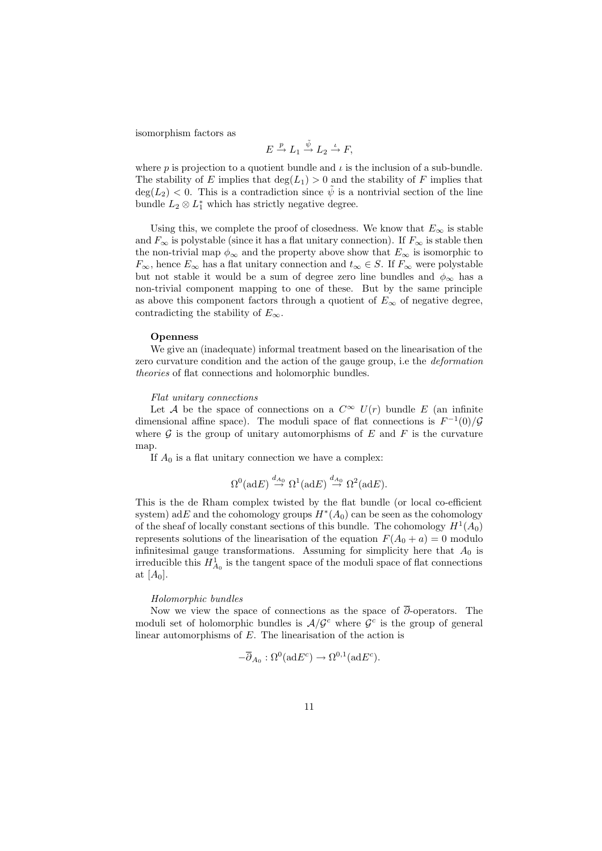isomorphism factors as

$$
E \stackrel{p}{\to} L_1 \stackrel{\tilde{\psi}}{\to} L_2 \stackrel{\iota}{\to} F,
$$

where p is projection to a quotient bundle and  $\iota$  is the inclusion of a sub-bundle. The stability of E implies that  $deg(L_1) > 0$  and the stability of F implies that  $deg(L_2) < 0$ . This is a contradiction since  $\psi$  is a nontrivial section of the line bundle  $L_2 \otimes L_1^*$  which has strictly negative degree.

Using this, we complete the proof of closedness. We know that  $E_{\infty}$  is stable and  $F_{\infty}$  is polystable (since it has a flat unitary connection). If  $F_{\infty}$  is stable then the non-trivial map  $\phi_{\infty}$  and the property above show that  $E_{\infty}$  is isomorphic to  $F_{\infty}$ , hence  $E_{\infty}$  has a flat unitary connection and  $t_{\infty} \in S$ . If  $F_{\infty}$  were polystable but not stable it would be a sum of degree zero line bundles and  $\phi_{\infty}$  has a non-trivial component mapping to one of these. But by the same principle as above this component factors through a quotient of  $E_{\infty}$  of negative degree, contradicting the stability of  $E_{\infty}$ .

## Openness

We give an (inadequate) informal treatment based on the linearisation of the zero curvature condition and the action of the gauge group, i.e the deformation theories of flat connections and holomorphic bundles.

## Flat unitary connections

Let A be the space of connections on a  $C^{\infty}$   $U(r)$  bundle E (an infinite dimensional affine space). The moduli space of flat connections is  $F^{-1}(0)/\mathcal{G}$ where  $\mathcal G$  is the group of unitary automorphisms of  $E$  and  $F$  is the curvature map.

If  $A_0$  is a flat unitary connection we have a complex:

$$
\Omega^0(\text{ad}E) \stackrel{d_{A_0}}{\to} \Omega^1(\text{ad}E) \stackrel{d_{A_0}}{\to} \Omega^2(\text{ad}E).
$$

This is the de Rham complex twisted by the flat bundle (or local co-efficient system) adE and the cohomology groups  $H^*(A_0)$  can be seen as the cohomology of the sheaf of locally constant sections of this bundle. The cohomology  $H^1(A_0)$ represents solutions of the linearisation of the equation  $F(A_0 + a) = 0$  modulo infinitesimal gauge transformations. Assuming for simplicity here that  $A_0$  is irreducible this  $H_{A_0}^1$  is the tangent space of the moduli space of flat connections at  $[A_0]$ .

#### Holomorphic bundles

Now we view the space of connections as the space of  $\overline{\partial}$ -operators. The moduli set of holomorphic bundles is  $A/\mathcal{G}^c$  where  $\mathcal{G}^c$  is the group of general linear automorphisms of  $E$ . The linearisation of the action is

$$
-\overline{\partial}_{A_0} : \Omega^0(\mathrm{ad} E^c) \to \Omega^{0,1}(\mathrm{ad} E^c).
$$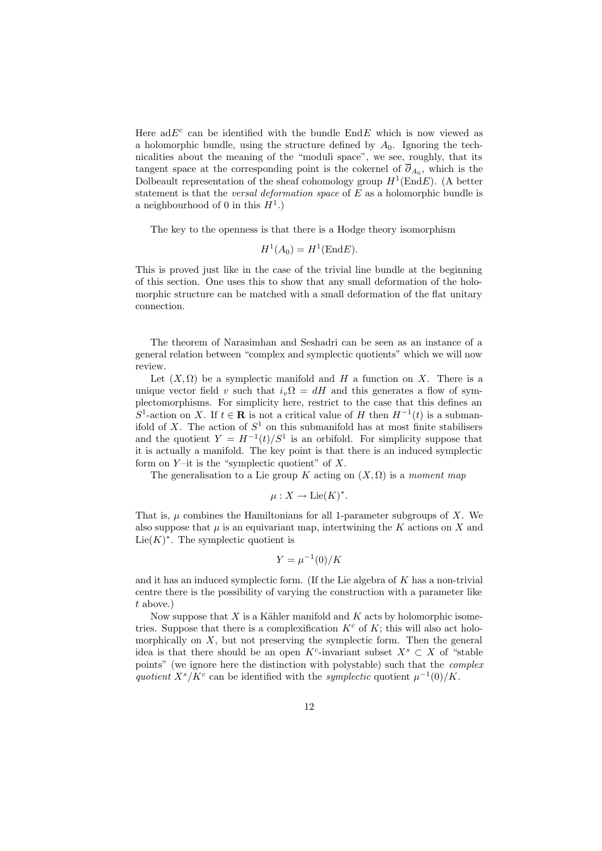Here ad $E^c$  can be identified with the bundle EndE which is now viewed as a holomorphic bundle, using the structure defined by  $A_0$ . Ignoring the technicalities about the meaning of the "moduli space", we see, roughly, that its tangent space at the corresponding point is the cokernel of  $\overline{\partial}_{A_0}$ , which is the Dolbeault representation of the sheaf cohomology group  $H^1(\text{End} E)$ . (A better statement is that the *versal deformation space* of  $E$  as a holomorphic bundle is a neighbourhood of 0 in this  $H^1$ .)

The key to the openness is that there is a Hodge theory isomorphism

$$
H^1(A_0) = H^1(\text{End} E).
$$

This is proved just like in the case of the trivial line bundle at the beginning of this section. One uses this to show that any small deformation of the holomorphic structure can be matched with a small deformation of the flat unitary connection.

The theorem of Narasimhan and Seshadri can be seen as an instance of a general relation between "complex and symplectic quotients" which we will now review.

Let  $(X, \Omega)$  be a symplectic manifold and H a function on X. There is a unique vector field v such that  $i_v\Omega = dH$  and this generates a flow of symplectomorphisms. For simplicity here, restrict to the case that this defines an S<sup>1</sup>-action on X. If  $t \in \mathbf{R}$  is not a critical value of H then  $H^{-1}(t)$  is a submanifold of X. The action of  $S^1$  on this submanifold has at most finite stabilisers and the quotient  $Y = H^{-1}(t)/S^1$  is an orbifold. For simplicity suppose that it is actually a manifold. The key point is that there is an induced symplectic form on  $Y$ -it is the "symplectic quotient" of  $X$ .

The generalisation to a Lie group K acting on  $(X, \Omega)$  is a moment map

$$
\mu: X \to \mathrm{Lie}(K)^*.
$$

That is,  $\mu$  combines the Hamiltonians for all 1-parameter subgroups of X. We also suppose that  $\mu$  is an equivariant map, intertwining the K actions on X and Lie $(K)^*$ . The symplectic quotient is

$$
Y = \mu^{-1}(0)/K
$$

and it has an induced symplectic form. (If the Lie algebra of K has a non-trivial centre there is the possibility of varying the construction with a parameter like t above.)

Now suppose that  $X$  is a Kähler manifold and  $K$  acts by holomorphic isometries. Suppose that there is a complexification  $K<sup>c</sup>$  of K; this will also act holomorphically on  $X$ , but not preserving the symplectic form. Then the general idea is that there should be an open K<sup>c</sup>-invariant subset  $X<sup>s</sup> \subset X$  of "stable" points" (we ignore here the distinction with polystable) such that the complex quotient  $X<sup>s</sup>/K<sup>c</sup>$  can be identified with the symplectic quotient  $\mu^{-1}(0)/K$ .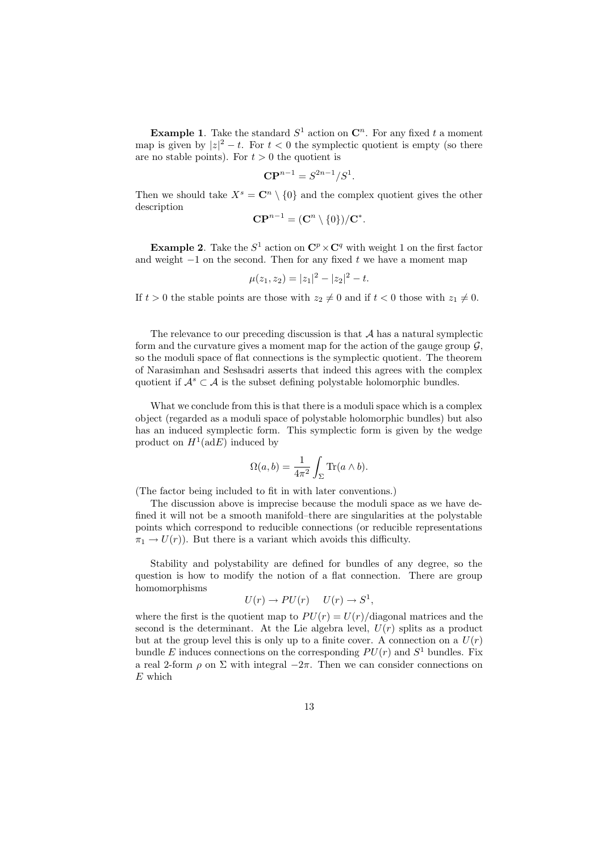**Example 1.** Take the standard  $S^1$  action on  $\mathbb{C}^n$ . For any fixed t a moment map is given by  $|z|^2 - t$ . For  $t < 0$  the symplectic quotient is empty (so there are no stable points). For  $t > 0$  the quotient is

$$
\mathbf{CP}^{n-1} = S^{2n-1}/S^1.
$$

Then we should take  $X^s = \mathbb{C}^n \setminus \{0\}$  and the complex quotient gives the other description

$$
\mathbf{CP}^{n-1} = (\mathbf{C}^n \setminus \{0\})/\mathbf{C}^*.
$$

**Example 2.** Take the  $S^1$  action on  $\mathbb{C}^p \times \mathbb{C}^q$  with weight 1 on the first factor and weight  $-1$  on the second. Then for any fixed t we have a moment map

$$
\mu(z_1, z_2) = |z_1|^2 - |z_2|^2 - t.
$$

If  $t > 0$  the stable points are those with  $z_2 \neq 0$  and if  $t < 0$  those with  $z_1 \neq 0$ .

The relevance to our preceding discussion is that  $A$  has a natural symplectic form and the curvature gives a moment map for the action of the gauge group  $\mathcal{G}$ . so the moduli space of flat connections is the symplectic quotient. The theorem of Narasimhan and Seshsadri asserts that indeed this agrees with the complex quotient if  $\mathcal{A}^s \subset \mathcal{A}$  is the subset defining polystable holomorphic bundles.

What we conclude from this is that there is a moduli space which is a complex object (regarded as a moduli space of polystable holomorphic bundles) but also has an induced symplectic form. This symplectic form is given by the wedge product on  $H^1(\text{ad}E)$  induced by

$$
\Omega(a,b) = \frac{1}{4\pi^2} \int_{\Sigma} \text{Tr}(a \wedge b).
$$

(The factor being included to fit in with later conventions.)

The discussion above is imprecise because the moduli space as we have defined it will not be a smooth manifold–there are singularities at the polystable points which correspond to reducible connections (or reducible representations  $\pi_1 \rightarrow U(r)$ ). But there is a variant which avoids this difficulty.

Stability and polystability are defined for bundles of any degree, so the question is how to modify the notion of a flat connection. There are group homomorphisms

$$
U(r) \to PU(r) \quad U(r) \to S^1,
$$

where the first is the quotient map to  $PU(r) = U(r)/\text{diagonal matrices}$  and the second is the determinant. At the Lie algebra level,  $U(r)$  splits as a product but at the group level this is only up to a finite cover. A connection on a  $U(r)$ bundle E induces connections on the corresponding  $PU(r)$  and  $S^1$  bundles. Fix a real 2-form  $\rho$  on  $\Sigma$  with integral  $-2\pi$ . Then we can consider connections on  $E$  which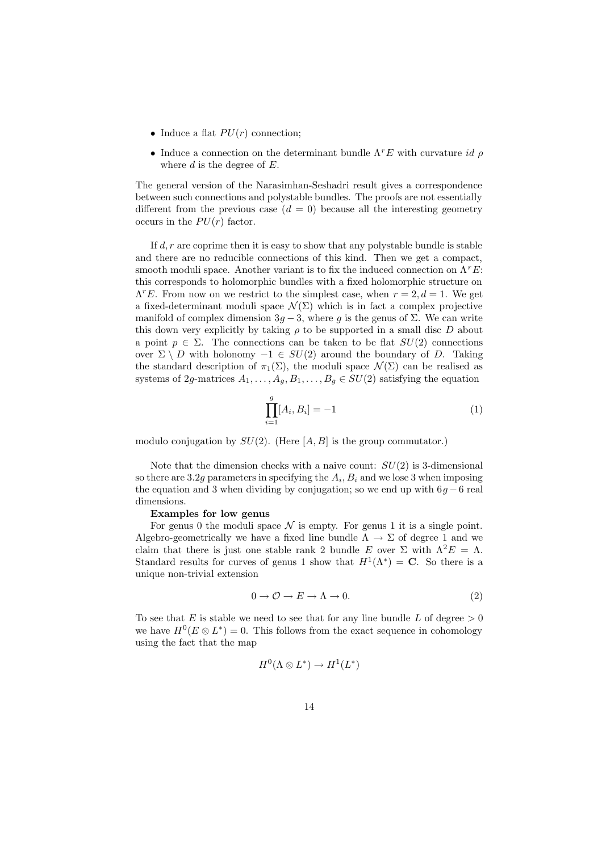- Induce a flat  $PU(r)$  connection;
- Induce a connection on the determinant bundle  $\Lambda^rE$  with curvature id  $\rho$ where  $d$  is the degree of  $E$ .

The general version of the Narasimhan-Seshadri result gives a correspondence between such connections and polystable bundles. The proofs are not essentially different from the previous case  $(d = 0)$  because all the interesting geometry occurs in the  $PU(r)$  factor.

If  $d, r$  are coprime then it is easy to show that any polystable bundle is stable and there are no reducible connections of this kind. Then we get a compact, smooth moduli space. Another variant is to fix the induced connection on  $\Lambda^r E$ : this corresponds to holomorphic bundles with a fixed holomorphic structure on  $\Lambda^rE$ . From now on we restrict to the simplest case, when  $r = 2, d = 1$ . We get a fixed-determinant moduli space  $\mathcal{N}(\Sigma)$  which is in fact a complex projective manifold of complex dimension  $3g - 3$ , where g is the genus of  $\Sigma$ . We can write this down very explicitly by taking  $\rho$  to be supported in a small disc D about a point  $p \in \Sigma$ . The connections can be taken to be flat  $SU(2)$  connections over  $\Sigma \setminus D$  with holonomy  $-1 \in SU(2)$  around the boundary of D. Taking the standard description of  $\pi_1(\Sigma)$ , the moduli space  $\mathcal{N}(\Sigma)$  can be realised as systems of 2g-matrices  $A_1, \ldots, A_q, B_1, \ldots, B_q \in SU(2)$  satisfying the equation

$$
\prod_{i=1}^{g} [A_i, B_i] = -1 \tag{1}
$$

modulo conjugation by  $SU(2)$ . (Here [A, B] is the group commutator.)

Note that the dimension checks with a naive count:  $SU(2)$  is 3-dimensional so there are 3.2g parameters in specifying the  $A_i, B_i$  and we lose 3 when imposing the equation and 3 when dividing by conjugation; so we end up with  $6g - 6$  real dimensions.

## Examples for low genus

For genus 0 the moduli space  $\mathcal N$  is empty. For genus 1 it is a single point. Algebro-geometrically we have a fixed line bundle  $\Lambda \to \Sigma$  of degree 1 and we claim that there is just one stable rank 2 bundle E over  $\Sigma$  with  $\Lambda^2 E = \Lambda$ . Standard results for curves of genus 1 show that  $H^1(\Lambda^*) = \mathbf{C}$ . So there is a unique non-trivial extension

$$
0 \to \mathcal{O} \to E \to \Lambda \to 0. \tag{2}
$$

To see that E is stable we need to see that for any line bundle L of degree  $> 0$ we have  $H^0(E \otimes L^*) = 0$ . This follows from the exact sequence in cohomology using the fact that the map

$$
H^0(\Lambda \otimes L^*) \to H^1(L^*)
$$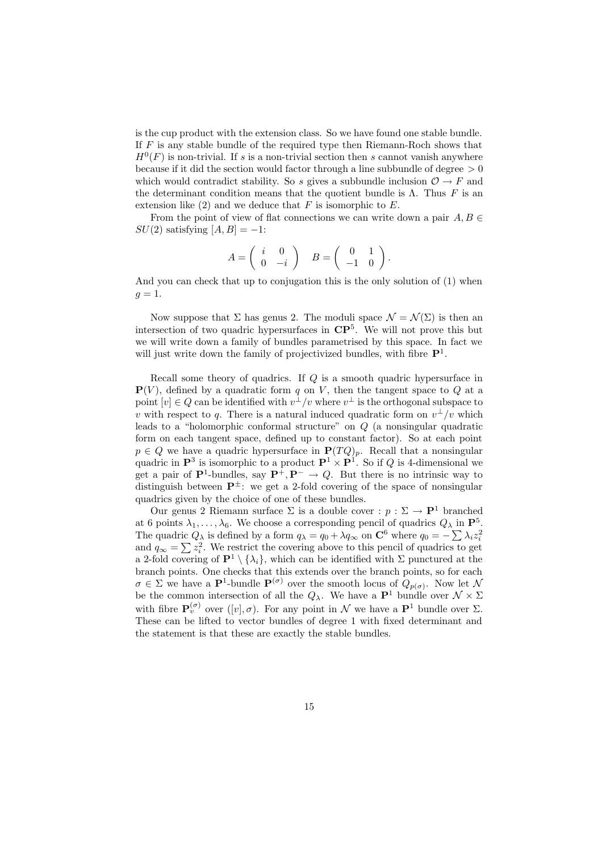is the cup product with the extension class. So we have found one stable bundle. If  $F$  is any stable bundle of the required type then Riemann-Roch shows that  $H^0(F)$  is non-trivial. If s is a non-trivial section then s cannot vanish anywhere because if it did the section would factor through a line subbundle of degree  $> 0$ which would contradict stability. So s gives a subbundle inclusion  $\mathcal{O} \to F$  and the determinant condition means that the quotient bundle is  $\Lambda$ . Thus F is an extension like  $(2)$  and we deduce that F is isomorphic to E.

From the point of view of flat connections we can write down a pair  $A, B \in$  $SU(2)$  satisfying  $[A, B] = -1$ :

$$
A = \left( \begin{array}{cc} i & 0 \\ 0 & -i \end{array} \right) \quad B = \left( \begin{array}{cc} 0 & 1 \\ -1 & 0 \end{array} \right).
$$

And you can check that up to conjugation this is the only solution of (1) when  $g=1$ .

Now suppose that  $\Sigma$  has genus 2. The moduli space  $\mathcal{N} = \mathcal{N}(\Sigma)$  is then an intersection of two quadric hypersurfaces in  $\mathbb{CP}^5$ . We will not prove this but we will write down a family of bundles parametrised by this space. In fact we will just write down the family of projectivized bundles, with fibre  $\mathbf{P}^1$ .

Recall some theory of quadrics. If Q is a smooth quadric hypersurface in  ${\bf P}(V)$ , defined by a quadratic form q on V, then the tangent space to Q at a point  $[v] \in Q$  can be identified with  $v^{\perp}/v$  where  $v^{\perp}$  is the orthogonal subspace to v with respect to q. There is a natural induced quadratic form on  $v^{\perp}/v$  which leads to a "holomorphic conformal structure" on Q (a nonsingular quadratic form on each tangent space, defined up to constant factor). So at each point  $p \in Q$  we have a quadric hypersurface in  $\mathbf{P}(TQ)_p$ . Recall that a nonsingular quadric in  $\mathbf{P}^3$  is isomorphic to a product  $\mathbf{P}^1 \times \mathbf{P}^1$ . So if Q is 4-dimensional we get a pair of  $\mathbf{P}^1$ -bundles, say  $\mathbf{P}^+, \mathbf{P}^- \to Q$ . But there is no intrinsic way to distinguish between  $\mathbf{P}^{\pm}$ : we get a 2-fold covering of the space of nonsingular quadrics given by the choice of one of these bundles.

Our genus 2 Riemann surface  $\Sigma$  is a double cover :  $p : \Sigma \to \mathbf{P}^1$  branched at 6 points  $\lambda_1, \ldots, \lambda_6$ . We choose a corresponding pencil of quadrics  $Q_\lambda$  in  $\mathbf{P}^5$ . The quadric  $Q_{\lambda}$  is defined by a form  $q_{\lambda} = q_0 + \lambda q_{\infty}$  on  $\mathbb{C}^6$  where  $q_0 = -\sum_{i} \lambda_i z_i^2$ and  $q_{\infty} = \sum z_i^2$ . We restrict the covering above to this pencil of quadrics to get a 2-fold covering of  $\mathbf{P}^1 \setminus {\lambda_i}$ , which can be identified with  $\Sigma$  punctured at the branch points. One checks that this extends over the branch points, so for each  $\sigma \in \Sigma$  we have a **P**<sup>1</sup>-bundle  $\mathbf{P}^{(\sigma)}$  over the smooth locus of  $Q_{p(\sigma)}$ . Now let N be the common intersection of all the  $Q_{\lambda}$ . We have a **P**<sup>1</sup> bundle over  $\mathcal{N} \times \Sigma$ with fibre  $\mathbf{P}_v^{(\sigma)}$  over  $([v], \sigma)$ . For any point in N we have a  $\mathbf{P}^1$  bundle over  $\Sigma$ . These can be lifted to vector bundles of degree 1 with fixed determinant and the statement is that these are exactly the stable bundles.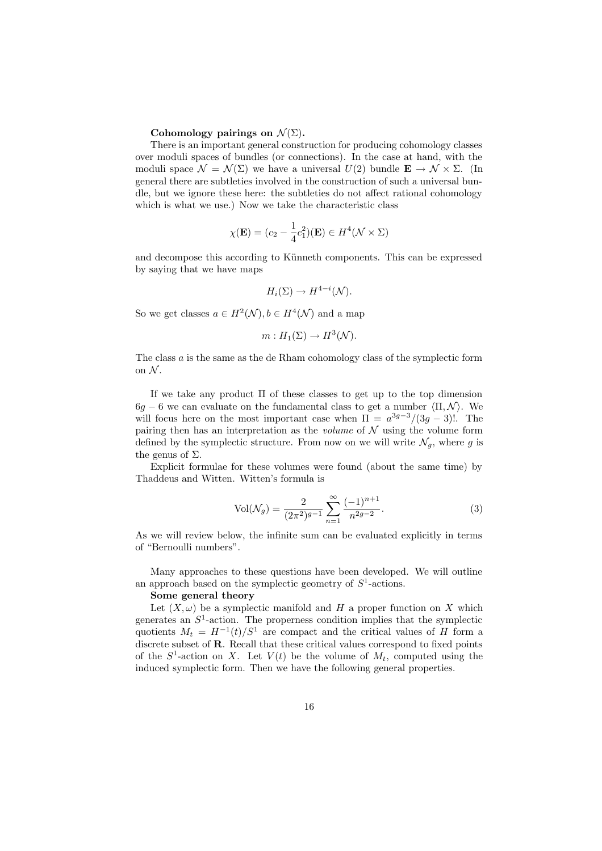### Cohomology pairings on  $\mathcal{N}(\Sigma)$ .

There is an important general construction for producing cohomology classes over moduli spaces of bundles (or connections). In the case at hand, with the moduli space  $\mathcal{N} = \mathcal{N}(\Sigma)$  we have a universal  $U(2)$  bundle  $\mathbf{E} \to \mathcal{N} \times \Sigma$ . (In general there are subtleties involved in the construction of such a universal bundle, but we ignore these here: the subtleties do not affect rational cohomology which is what we use.) Now we take the characteristic class

$$
\chi(\mathbf{E}) = (c_2 - \frac{1}{4}c_1^2)(\mathbf{E}) \in H^4(\mathcal{N} \times \Sigma)
$$

and decompose this according to Künneth components. This can be expressed by saying that we have maps

$$
H_i(\Sigma) \to H^{4-i}(\mathcal{N}).
$$

So we get classes  $a \in H^2(\mathcal{N}), b \in H^4(\mathcal{N})$  and a map

$$
m: H_1(\Sigma) \to H^3(\mathcal{N}).
$$

The class  $a$  is the same as the de Rham cohomology class of the symplectic form on  $N$ .

If we take any product  $\Pi$  of these classes to get up to the top dimension  $6g - 6$  we can evaluate on the fundamental class to get a number  $\langle \Pi, \mathcal{N} \rangle$ . We will focus here on the most important case when  $\Pi = a^{3g-3}/(3g-3)!$ . The pairing then has an interpretation as the *volume* of  $N$  using the volume form defined by the symplectic structure. From now on we will write  $\mathcal{N}_q$ , where g is the genus of  $\Sigma$ .

Explicit formulae for these volumes were found (about the same time) by Thaddeus and Witten. Witten's formula is

$$
Vol(\mathcal{N}_g) = \frac{2}{(2\pi^2)^{g-1}} \sum_{n=1}^{\infty} \frac{(-1)^{n+1}}{n^{2g-2}}.
$$
 (3)

As we will review below, the infinite sum can be evaluated explicitly in terms of "Bernoulli numbers".

Many approaches to these questions have been developed. We will outline an approach based on the symplectic geometry of  $S<sup>1</sup>$ -actions.

### Some general theory

Let  $(X, \omega)$  be a symplectic manifold and H a proper function on X which generates an  $S^1$ -action. The properness condition implies that the symplectic quotients  $M_t = H^{-1}(t)/S^1$  are compact and the critical values of H form a discrete subset of **R**. Recall that these critical values correspond to fixed points of the  $S^1$ -action on X. Let  $V(t)$  be the volume of  $M_t$ , computed using the induced symplectic form. Then we have the following general properties.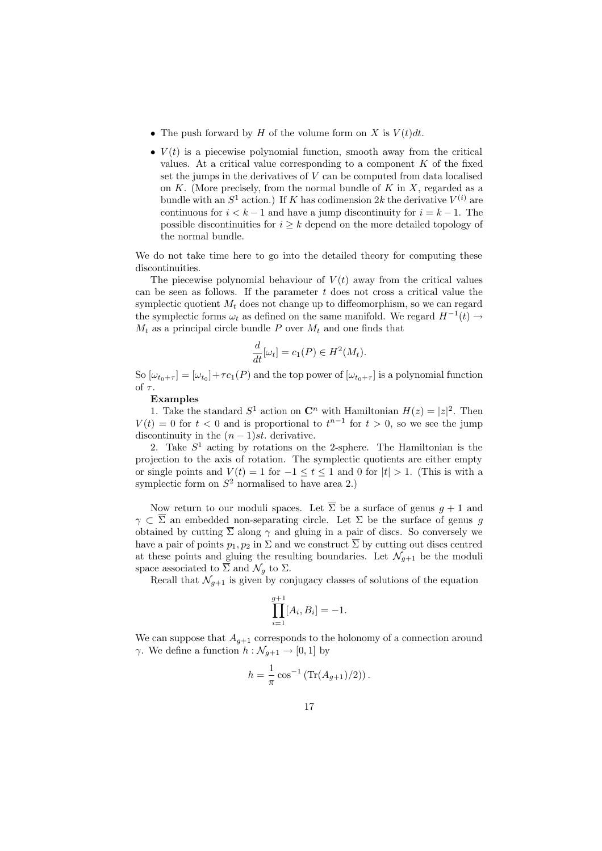- The push forward by H of the volume form on X is  $V(t)dt$ .
- $V(t)$  is a piecewise polynomial function, smooth away from the critical values. At a critical value corresponding to a component  $K$  of the fixed set the jumps in the derivatives of  $V$  can be computed from data localised on  $K$ . (More precisely, from the normal bundle of  $K$  in  $X$ , regarded as a bundle with an  $S^1$  action.) If K has codimension 2k the derivative  $V^{(i)}$  are continuous for  $i < k - 1$  and have a jump discontinuity for  $i = k - 1$ . The possible discontinuities for  $i \geq k$  depend on the more detailed topology of the normal bundle.

We do not take time here to go into the detailed theory for computing these discontinuities.

The piecewise polynomial behaviour of  $V(t)$  away from the critical values can be seen as follows. If the parameter  $t$  does not cross a critical value the symplectic quotient  $M_t$  does not change up to diffeomorphism, so we can regard the symplectic forms  $\omega_t$  as defined on the same manifold. We regard  $H^{-1}(t) \rightarrow$  $M_t$  as a principal circle bundle P over  $M_t$  and one finds that

$$
\frac{d}{dt}[\omega_t] = c_1(P) \in H^2(M_t).
$$

So  $[\omega_{t_0+\tau}] = [\omega_{t_0}] + \tau c_1(P)$  and the top power of  $[\omega_{t_0+\tau}]$  is a polynomial function of  $\tau$ .

#### Examples

1. Take the standard  $S^1$  action on  $\mathbb{C}^n$  with Hamiltonian  $H(z) = |z|^2$ . Then  $V(t) = 0$  for  $t < 0$  and is proportional to  $t^{n-1}$  for  $t > 0$ , so we see the jump discontinuity in the  $(n-1)st$ . derivative.

2. Take  $S<sup>1</sup>$  acting by rotations on the 2-sphere. The Hamiltonian is the projection to the axis of rotation. The symplectic quotients are either empty or single points and  $V(t) = 1$  for  $-1 \le t \le 1$  and 0 for  $|t| > 1$ . (This is with a symplectic form on  $S^2$  normalised to have area 2.)

Now return to our moduli spaces. Let  $\overline{\Sigma}$  be a surface of genus  $g + 1$  and  $\gamma \subset \overline{\Sigma}$  an embedded non-separating circle. Let  $\Sigma$  be the surface of genus g obtained by cutting  $\overline{\Sigma}$  along  $\gamma$  and gluing in a pair of discs. So conversely we have a pair of points  $p_1, p_2$  in  $\Sigma$  and we construct  $\overline{\Sigma}$  by cutting out discs centred at these points and gluing the resulting boundaries. Let  $\mathcal{N}_{g+1}$  be the moduli space associated to  $\overline{\Sigma}$  and  $\mathcal{N}_g$  to  $\Sigma$ .

Recall that  $\mathcal{N}_{q+1}$  is given by conjugacy classes of solutions of the equation

$$
\prod_{i=1}^{g+1} [A_i, B_i] = -1.
$$

We can suppose that  $A_{q+1}$  corresponds to the holonomy of a connection around  $\gamma$ . We define a function  $h : \mathcal{N}_{q+1} \to [0, 1]$  by

$$
h = \frac{1}{\pi} \cos^{-1} \left( \text{Tr}(A_{g+1})/2 \right).
$$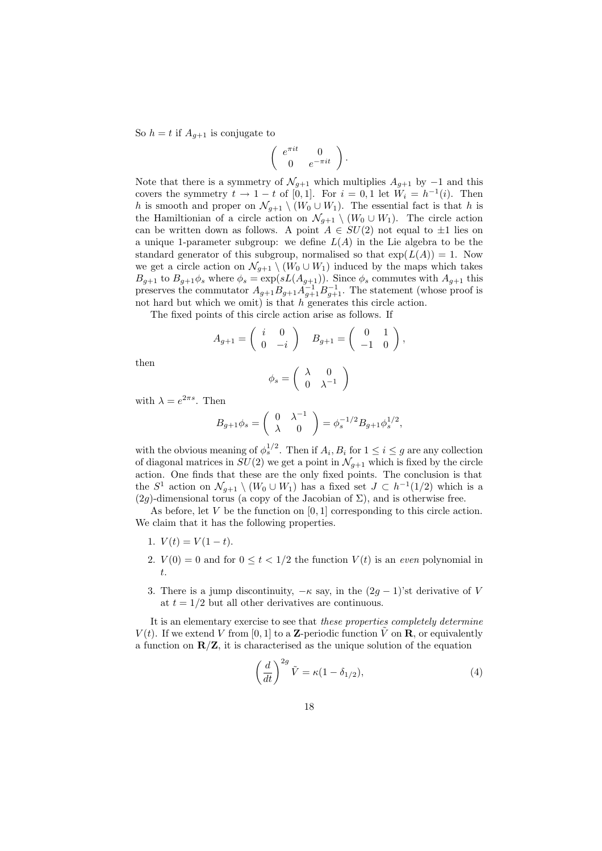So  $h = t$  if  $A_{g+1}$  is conjugate to

$$
\left(\begin{array}{cc} e^{\pi i t} & 0 \\ 0 & e^{-\pi i t} \end{array}\right).
$$

Note that there is a symmetry of  $\mathcal{N}_{g+1}$  which multiplies  $A_{g+1}$  by  $-1$  and this covers the symmetry  $t \to 1-t$  of [0,1]. For  $i = 0, 1$  let  $\tilde{W}_i = h^{-1}(i)$ . Then h is smooth and proper on  $\mathcal{N}_{q+1} \setminus (W_0 \cup W_1)$ . The essential fact is that h is the Hamiltionian of a circle action on  $\mathcal{N}_{g+1} \setminus (W_0 \cup W_1)$ . The circle action can be written down as follows. A point  $A \in SU(2)$  not equal to  $\pm 1$  lies on a unique 1-parameter subgroup: we define  $L(A)$  in the Lie algebra to be the standard generator of this subgroup, normalised so that  $\exp(L(A)) = 1$ . Now we get a circle action on  $\mathcal{N}_{g+1} \setminus (W_0 \cup W_1)$  induced by the maps which takes  $B_{g+1}$  to  $B_{g+1}\phi_s$  where  $\phi_s = \exp(sL(A_{g+1}))$ . Since  $\phi_s$  commutes with  $A_{g+1}$  this preserves the commutator  $A_{g+1}B_{g+1}A_{g+1}^{-1}B_{g+1}^{-1}$ . The statement (whose proof is not hard but which we omit) is that  $h$  generates this circle action.

The fixed points of this circle action arise as follows. If

$$
A_{g+1} = \begin{pmatrix} i & 0 \\ 0 & -i \end{pmatrix} \quad B_{g+1} = \begin{pmatrix} 0 & 1 \\ -1 & 0 \end{pmatrix},
$$

then

$$
\phi_s = \left(\begin{array}{cc} \lambda & 0 \\ 0 & \lambda^{-1} \end{array}\right)
$$

with  $\lambda = e^{2\pi s}$ . Then

$$
B_{g+1}\phi_s = \begin{pmatrix} 0 & \lambda^{-1} \\ \lambda & 0 \end{pmatrix} = \phi_s^{-1/2} B_{g+1} \phi_s^{1/2},
$$

with the obvious meaning of  $\phi_s^{1/2}$ . Then if  $A_i, B_i$  for  $1 \leq i \leq g$  are any collection of diagonal matrices in  $SU(2)$  we get a point in  $\mathcal{N}_{g+1}$  which is fixed by the circle action. One finds that these are the only fixed points. The conclusion is that the  $S^1$  action on  $\mathcal{N}_{q+1} \setminus (W_0 \cup W_1)$  has a fixed set  $J \subset h^{-1}(1/2)$  which is a  $(2g)$ -dimensional torus (a copy of the Jacobian of  $\Sigma$ ), and is otherwise free.

As before, let  $V$  be the function on  $[0, 1]$  corresponding to this circle action. We claim that it has the following properties.

- 1.  $V(t) = V(1-t)$ .
- 2.  $V(0) = 0$  and for  $0 \le t \le 1/2$  the function  $V(t)$  is an even polynomial in t.
- 3. There is a jump discontinuity,  $-\kappa$  say, in the  $(2g 1)$ 'st derivative of V at  $t = 1/2$  but all other derivatives are continuous.

It is an elementary exercise to see that these properties completely determine  $V(t)$ . If we extend V from [0, 1] to a **Z**-periodic function  $\tilde{V}$  on **R**, or equivalently a function on  $\mathbb{R}/\mathbb{Z}$ , it is characterised as the unique solution of the equation

$$
\left(\frac{d}{dt}\right)^{2g}\tilde{V} = \kappa(1-\delta_{1/2}),\tag{4}
$$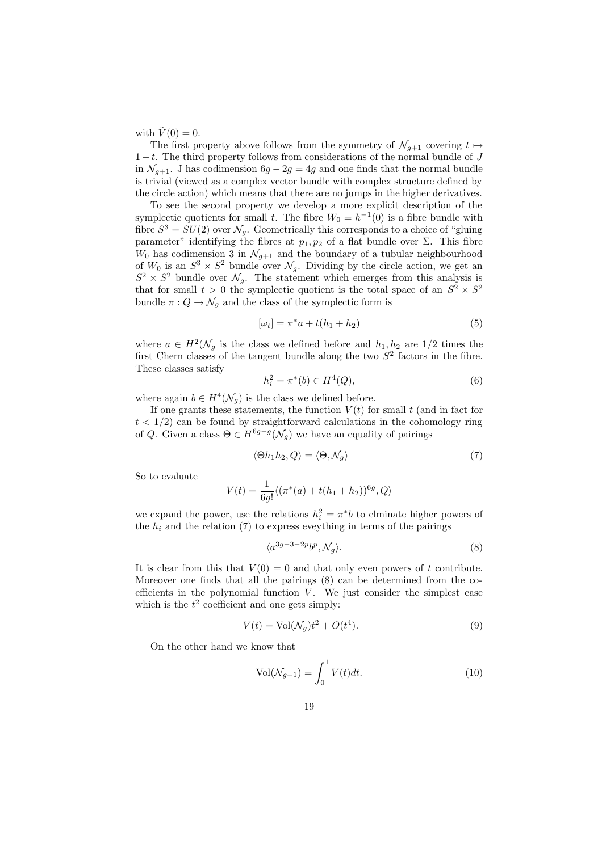with  $\tilde{V}(0) = 0$ .

The first property above follows from the symmetry of  $\mathcal{N}_{q+1}$  covering  $t \mapsto$  $1-t$ . The third property follows from considerations of the normal bundle of J in  $\mathcal{N}_{g+1}$ . J has codimension  $6g - 2g = 4g$  and one finds that the normal bundle is trivial (viewed as a complex vector bundle with complex structure defined by the circle action) which means that there are no jumps in the higher derivatives.

To see the second property we develop a more explicit description of the symplectic quotients for small t. The fibre  $W_0 = h^{-1}(0)$  is a fibre bundle with fibre  $S^3 = SU(2)$  over  $\mathcal{N}_q$ . Geometrically this corresponds to a choice of "gluing" parameter" identifying the fibres at  $p_1, p_2$  of a flat bundle over  $\Sigma$ . This fibre  $W_0$  has codimension 3 in  $\mathcal{N}_{g+1}$  and the boundary of a tubular neighbourhood of  $W_0$  is an  $S^3 \times S^2$  bundle over  $\mathcal{N}_g$ . Dividing by the circle action, we get an  $S^2 \times S^2$  bundle over  $\mathcal{N}_g$ . The statement which emerges from this analysis is that for small  $t > 0$  the symplectic quotient is the total space of an  $S^2 \times S^2$ bundle  $\pi: Q \to \mathcal{N}_g$  and the class of the symplectic form is

$$
[\omega_t] = \pi^* a + t(h_1 + h_2)
$$
\n(5)

where  $a \in H^2(\mathcal{N}_g)$  is the class we defined before and  $h_1, h_2$  are  $1/2$  times the first Chern classes of the tangent bundle along the two  $S<sup>2</sup>$  factors in the fibre. These classes satisfy

$$
h_i^2 = \pi^*(b) \in H^4(Q),\tag{6}
$$

where again  $b \in H^4(\mathcal{N}_q)$  is the class we defined before.

If one grants these statements, the function  $V(t)$  for small t (and in fact for  $t < 1/2$  can be found by straightforward calculations in the cohomology ring of Q. Given a class  $\Theta \in H^{6g-g}(\mathcal{N}_q)$  we have an equality of pairings

$$
\langle \Theta h_1 h_2, Q \rangle = \langle \Theta, \mathcal{N}_g \rangle \tag{7}
$$

So to evaluate

$$
V(t) = \frac{1}{6g!} \langle (\pi^*(a) + t(h_1 + h_2))^{6g}, Q \rangle
$$

we expand the power, use the relations  $h_i^2 = \pi^*b$  to elminate higher powers of the  $h_i$  and the relation (7) to express eveything in terms of the pairings

$$
\langle a^{3g-3-2p}b^p, \mathcal{N}_g \rangle. \tag{8}
$$

It is clear from this that  $V(0) = 0$  and that only even powers of t contribute. Moreover one finds that all the pairings (8) can be determined from the coefficients in the polynomial function  $V$ . We just consider the simplest case which is the  $t^2$  coefficient and one gets simply:

$$
V(t) = \text{Vol}(\mathcal{N}_g)t^2 + O(t^4). \tag{9}
$$

On the other hand we know that

$$
Vol(\mathcal{N}_{g+1}) = \int_0^1 V(t)dt.
$$
 (10)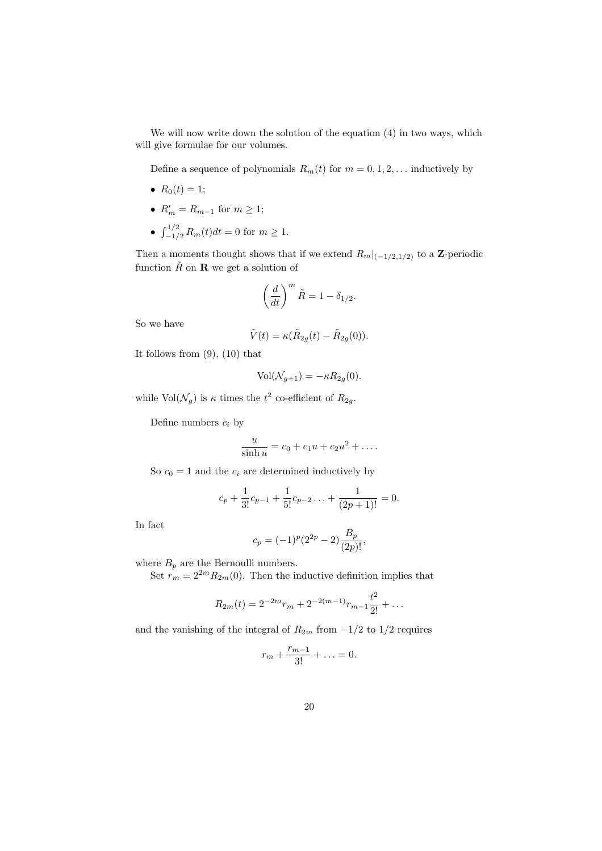We will now write down the solution of the equation (4) in two ways, which will give formulae for our volumes.

Define a sequence of polynomials  $R_m(t)$  for  $m = 0, 1, 2, \ldots$  inductively by

- $R_0(t) = 1;$
- $R'_m = R_{m-1}$  for  $m \ge 1$ ;
- $\int_{-1/2}^{1/2} R_m(t) dt = 0$  for  $m \ge 1$ .

Then a moments thought shows that if we extend  $R_m|_{(-1/2,1/2)}$  to a Z-periodic function  $\tilde{R}$  on **R** we get a solution of

$$
\left(\frac{d}{dt}\right)^m \tilde{R} = 1 - \delta_{1/2}.
$$

So we have

$$
\tilde{V}(t) = \kappa (\tilde{R}_{2g}(t) - \tilde{R}_{2g}(0)).
$$

It follows from (9), (10) that

$$
Vol(\mathcal{N}_{g+1}) = -\kappa R_{2g}(0).
$$

while  $\text{Vol}(\mathcal{N}_g)$  is  $\kappa$  times the  $t^2$  co-efficient of  $R_{2g}$ .

Define numbers  $c_i$  by

$$
\frac{u}{\sinh u} = c_0 + c_1 u + c_2 u^2 + \dots
$$

So  $c_0 = 1$  and the  $c_i$  are determined inductively by

$$
c_p + \frac{1}{3!}c_{p-1} + \frac{1}{5!}c_{p-2} + \frac{1}{(2p+1)!} = 0.
$$

In fact

$$
c_p = (-1)^p (2^{2p} - 2) \frac{B_p}{(2p)!},
$$

where  $B_p$  are the Bernoulli numbers.

Set  $r_m = 2^{2m} R_{2m}(0)$ . Then the inductive definition implies that

$$
R_{2m}(t) = 2^{-2m}r_m + 2^{-2(m-1)}r_{m-1}\frac{t^2}{2!} + \dots
$$

and the vanishing of the integral of  $R_{2m}$  from  $-1/2$  to  $1/2$  requires

$$
r_m+\frac{r_{m-1}}{3!}+\ldots=0.
$$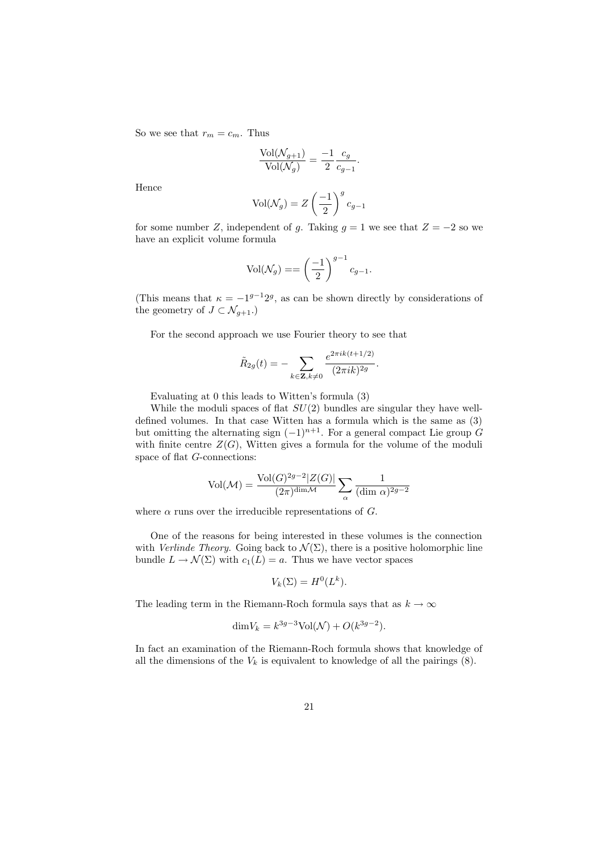So we see that  $r_m = c_m$ . Thus

$$
\frac{\text{Vol}(\mathcal{N}_{g+1})}{\text{Vol}(\mathcal{N}_g)} = \frac{-1}{2} \frac{c_g}{c_{g-1}}.
$$

Hence

$$
\text{Vol}(\mathcal{N}_g) = Z \left(\frac{-1}{2}\right)^g c_{g-1}
$$

for some number Z, independent of q. Taking  $q = 1$  we see that  $Z = -2$  so we have an explicit volume formula

$$
Vol(\mathcal{N}_g) = = \left(\frac{-1}{2}\right)^{g-1} c_{g-1}.
$$

(This means that  $\kappa = -1^{g-1}2^g$ , as can be shown directly by considerations of the geometry of  $J \subset \mathcal{N}_{g+1}$ .)

For the second approach we use Fourier theory to see that

$$
\tilde{R}_{2g}(t) = -\sum_{k \in \mathbf{Z}, k \neq 0} \frac{e^{2\pi i k(t+1/2)}}{(2\pi i k)^{2g}}.
$$

Evaluating at 0 this leads to Witten's formula (3)

While the moduli spaces of flat  $SU(2)$  bundles are singular they have welldefined volumes. In that case Witten has a formula which is the same as (3) but omitting the alternating sign  $(-1)^{n+1}$ . For a general compact Lie group G with finite centre  $Z(G)$ , Witten gives a formula for the volume of the moduli space of flat G-connections:

$$
\text{Vol}(\mathcal{M}) = \frac{\text{Vol}(G)^{2g-2}|Z(G)|}{(2\pi)^{\text{dim}\mathcal{M}}}\sum_{\alpha}\frac{1}{(\text{dim }\alpha)^{2g-2}}
$$

where  $\alpha$  runs over the irreducible representations of  $G$ .

One of the reasons for being interested in these volumes is the connection with *Verlinde Theory*. Going back to  $\mathcal{N}(\Sigma)$ , there is a positive holomorphic line bundle  $L \to \mathcal{N}(\Sigma)$  with  $c_1(L) = a$ . Thus we have vector spaces

$$
V_k(\Sigma) = H^0(L^k).
$$

The leading term in the Riemann-Roch formula says that as  $k \to \infty$ 

$$
\dim V_k = k^{3g-3} \text{Vol}(\mathcal{N}) + O(k^{3g-2}).
$$

In fact an examination of the Riemann-Roch formula shows that knowledge of all the dimensions of the  $V_k$  is equivalent to knowledge of all the pairings  $(8)$ .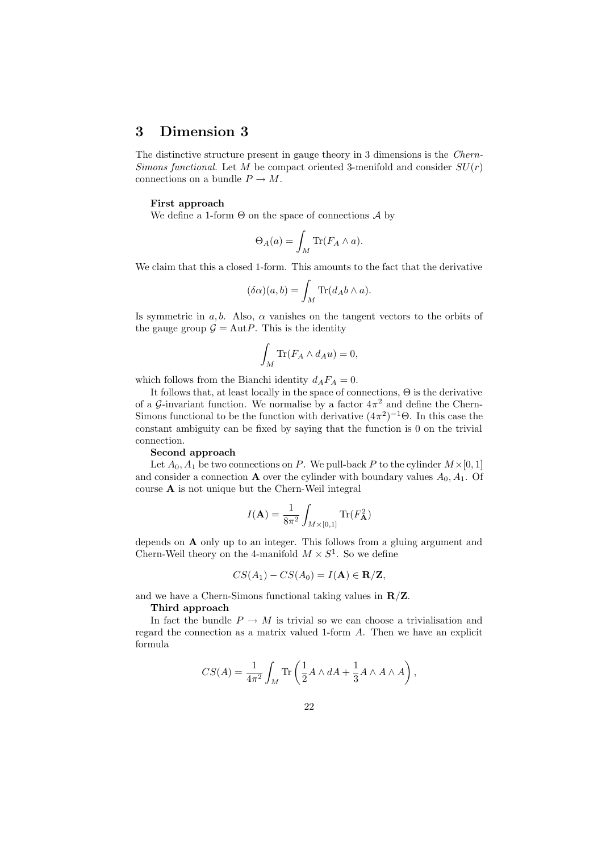## 3 Dimension 3

The distinctive structure present in gauge theory in 3 dimensions is the Chern-Simons functional. Let M be compact oriented 3-menifold and consider  $SU(r)$ connections on a bundle  $P \to M$ .

## First approach

We define a 1-form  $\Theta$  on the space of connections  $\mathcal A$  by

$$
\Theta_A(a) = \int_M \text{Tr}(F_A \wedge a).
$$

We claim that this a closed 1-form. This amounts to the fact that the derivative

$$
(\delta \alpha)(a,b) = \int_M \text{Tr}(d_A b \wedge a).
$$

Is symmetric in a, b. Also,  $\alpha$  vanishes on the tangent vectors to the orbits of the gauge group  $\mathcal{G} = \text{Aut}P$ . This is the identity

$$
\int_M \text{Tr}(F_A \wedge d_A u) = 0,
$$

which follows from the Bianchi identity  $d_A F_A = 0$ .

It follows that, at least locally in the space of connections, Θ is the derivative of a G-invariant function. We normalise by a factor  $4\pi^2$  and define the Chern-Simons functional to be the function with derivative  $(4\pi^2)^{-1}\Theta$ . In this case the constant ambiguity can be fixed by saying that the function is 0 on the trivial connection.

#### Second approach

Let  $A_0$ ,  $A_1$  be two connections on P. We pull-back P to the cylinder  $M \times [0, 1]$ and consider a connection **A** over the cylinder with boundary values  $A_0$ ,  $A_1$ . Of course A is not unique but the Chern-Weil integral

$$
I(\mathbf{A}) = \frac{1}{8\pi^2} \int_{M \times [0,1]} \text{Tr}(F_{\mathbf{A}}^2)
$$

depends on A only up to an integer. This follows from a gluing argument and Chern-Weil theory on the 4-manifold  $M \times S^1$ . So we define

$$
CS(A_1) - CS(A_0) = I(\mathbf{A}) \in \mathbf{R}/\mathbf{Z},
$$

and we have a Chern-Simons functional taking values in  $\mathbb{R}/\mathbb{Z}$ .

## Third approach

In fact the bundle  $P \to M$  is trivial so we can choose a trivialisation and regard the connection as a matrix valued 1-form A. Then we have an explicit formula

$$
CS(A)=\frac{1}{4\pi^2}\int_M\text{Tr}\left(\frac{1}{2}A\wedge dA+\frac{1}{3}A\wedge A\wedge A\right),
$$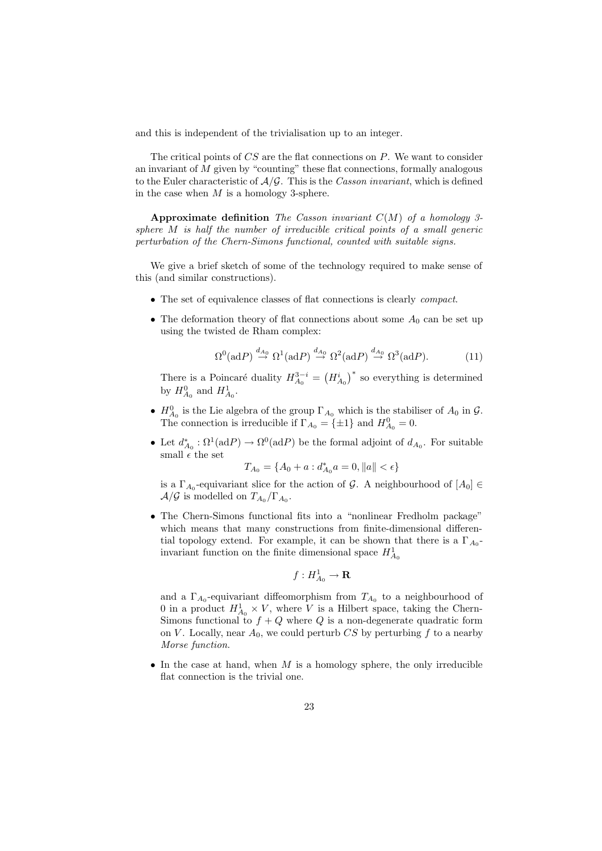and this is independent of the trivialisation up to an integer.

The critical points of  $CS$  are the flat connections on  $P$ . We want to consider an invariant of M given by "counting" these flat connections, formally analogous to the Euler characteristic of  $A/G$ . This is the Casson invariant, which is defined in the case when  $M$  is a homology 3-sphere.

Approximate definition The Casson invariant  $C(M)$  of a homology 3sphere M is half the number of irreducible critical points of a small generic perturbation of the Chern-Simons functional, counted with suitable signs.

We give a brief sketch of some of the technology required to make sense of this (and similar constructions).

- The set of equivalence classes of flat connections is clearly compact.
- The deformation theory of flat connections about some  $A_0$  can be set up using the twisted de Rham complex:

$$
\Omega^0(\text{ad}P) \stackrel{d_{A_0}}{\to} \Omega^1(\text{ad}P) \stackrel{d_{A_0}}{\to} \Omega^2(\text{ad}P) \stackrel{d_{A_0}}{\to} \Omega^3(\text{ad}P). \tag{11}
$$

There is a Poincaré duality  $H_{A_0}^{3-i} = (H_{A_0}^i)^*$  so everything is determined by  $H_{A_0}^0$  and  $H_{A_0}^1$ .

- $H_{A_0}^0$  is the Lie algebra of the group  $\Gamma_{A_0}$  which is the stabiliser of  $A_0$  in  $\mathcal{G}$ . The connection is irreducible if  $\Gamma_{A_0} = {\pm 1}$  and  $H_{A_0}^0 = 0$ .
- Let  $d_{A_0}^* : \Omega^1(\text{ad}P) \to \Omega^0(\text{ad}P)$  be the formal adjoint of  $d_{A_0}$ . For suitable small  $\epsilon$  the set

$$
T_{A_0} = \{A_0 + a : d_{A_0}^* a = 0, ||a|| < \epsilon\}
$$

is a  $\Gamma_{A_0}$ -equivariant slice for the action of G. A neighbourhood of  $[A_0] \in$  $\mathcal{A}/\mathcal{G}$  is modelled on  $T_{A_0}/\Gamma_{A_0}$ .

• The Chern-Simons functional fits into a "nonlinear Fredholm package" which means that many constructions from finite-dimensional differential topology extend. For example, it can be shown that there is a  $\Gamma_{A_0}$ invariant function on the finite dimensional space  $H_{A_0}^1$ 

$$
f: H^1_{A_0} \to \mathbf{R}
$$

and a  $\Gamma_{A_0}$ -equivariant diffeomorphism from  $T_{A_0}$  to a neighbourhood of 0 in a product  $H_{A_0}^1 \times V$ , where V is a Hilbert space, taking the Chern-Simons functional to  $f + Q$  where Q is a non-degenerate quadratic form on V. Locally, near  $A_0$ , we could perturb CS by perturbing f to a nearby Morse function.

• In the case at hand, when  $M$  is a homology sphere, the only irreducible flat connection is the trivial one.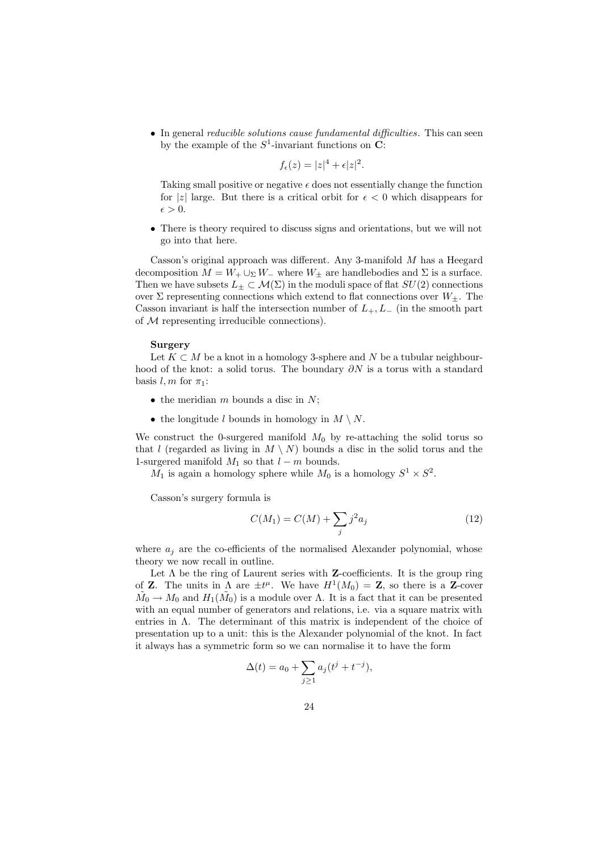• In general *reducible solutions cause fundamental difficulties*. This can seen by the example of the  $S^1$ -invariant functions on C:

$$
f_{\epsilon}(z) = |z|^4 + \epsilon |z|^2.
$$

Taking small positive or negative  $\epsilon$  does not essentially change the function for |z| large. But there is a critical orbit for  $\epsilon < 0$  which disappears for  $\epsilon > 0$ .

• There is theory required to discuss signs and orientations, but we will not go into that here.

Casson's original approach was different. Any 3-manifold M has a Heegard decomposition  $M = W_+ \cup_{\Sigma} W_-$  where  $W_{\pm}$  are handlebodies and  $\Sigma$  is a surface. Then we have subsets  $L_{\pm} \subset \mathcal{M}(\Sigma)$  in the moduli space of flat  $SU(2)$  connections over  $\Sigma$  representing connections which extend to flat connections over  $W_{+}$ . The Casson invariant is half the intersection number of  $L_+, L_-$  (in the smooth part of  $M$  representing irreducible connections).

#### Surgery

Let  $K \subset M$  be a knot in a homology 3-sphere and N be a tubular neighbourhood of the knot: a solid torus. The boundary  $\partial N$  is a torus with a standard basis  $l, m$  for  $\pi_1$ :

- the meridian  $m$  bounds a disc in  $N$ ;
- the longitude l bounds in homology in  $M \setminus N$ .

We construct the 0-surgered manifold  $M_0$  by re-attaching the solid torus so that l (regarded as living in  $M \setminus N$ ) bounds a disc in the solid torus and the 1-surgered manifold  $M_1$  so that  $l - m$  bounds.

 $M_1$  is again a homology sphere while  $M_0$  is a homology  $S^1 \times S^2$ .

Casson's surgery formula is

$$
C(M_1) = C(M) + \sum_{j} j^2 a_j \tag{12}
$$

where  $a_j$  are the co-efficients of the normalised Alexander polynomial, whose theory we now recall in outline.

Let  $\Lambda$  be the ring of Laurent series with **Z**-coefficients. It is the group ring of **Z**. The units in  $\Lambda$  are  $\pm t^{\mu}$ . We have  $H^1(M_0) = \mathbf{Z}$ , so there is a **Z**-cover  $M_0 \to M_0$  and  $H_1(M_0)$  is a module over  $\Lambda$ . It is a fact that it can be presented with an equal number of generators and relations, i.e. via a square matrix with entries in  $\Lambda$ . The determinant of this matrix is independent of the choice of presentation up to a unit: this is the Alexander polynomial of the knot. In fact it always has a symmetric form so we can normalise it to have the form

$$
\Delta(t) = a_0 + \sum_{j \ge 1} a_j (t^j + t^{-j}),
$$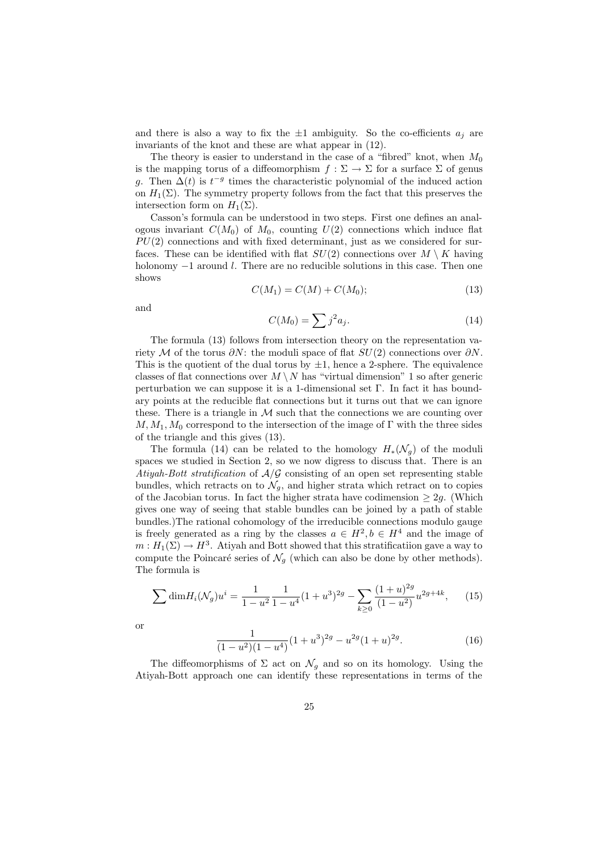and there is also a way to fix the  $\pm 1$  ambiguity. So the co-efficients  $a_j$  are invariants of the knot and these are what appear in (12).

The theory is easier to understand in the case of a "fibred" knot, when  $M_0$ is the mapping torus of a diffeomorphism  $f : \Sigma \to \Sigma$  for a surface  $\Sigma$  of genus g. Then  $\Delta(t)$  is  $t^{-g}$  times the characteristic polynomial of the induced action on  $H_1(\Sigma)$ . The symmetry property follows from the fact that this preserves the intersection form on  $H_1(\Sigma)$ .

Casson's formula can be understood in two steps. First one defines an analogous invariant  $C(M_0)$  of  $M_0$ , counting  $U(2)$  connections which induce flat  $PU(2)$  connections and with fixed determinant, just as we considered for surfaces. These can be identified with flat  $SU(2)$  connections over  $M \setminus K$  having holonomy −1 around l. There are no reducible solutions in this case. Then one shows

$$
C(M_1) = C(M) + C(M_0); \t(13)
$$

and

$$
C(M_0) = \sum j^2 a_j. \tag{14}
$$

The formula (13) follows from intersection theory on the representation variety M of the torus  $\partial N$ : the moduli space of flat  $SU(2)$  connections over  $\partial N$ . This is the quotient of the dual torus by  $\pm 1$ , hence a 2-sphere. The equivalence classes of flat connections over  $M \setminus N$  has "virtual dimension" 1 so after generic perturbation we can suppose it is a 1-dimensional set  $\Gamma$ . In fact it has boundary points at the reducible flat connections but it turns out that we can ignore these. There is a triangle in  $M$  such that the connections we are counting over  $M, M_1, M_0$  correspond to the intersection of the image of Γ with the three sides of the triangle and this gives (13).

The formula (14) can be related to the homology  $H_*(\mathcal{N}_q)$  of the moduli spaces we studied in Section 2, so we now digress to discuss that. There is an Atiyah-Bott stratification of  $A/G$  consisting of an open set representing stable bundles, which retracts on to  $\mathcal{N}_q$ , and higher strata which retract on to copies of the Jacobian torus. In fact the higher strata have codimension  $\geq 2g$ . (Which gives one way of seeing that stable bundles can be joined by a path of stable bundles.)The rational cohomology of the irreducible connections modulo gauge is freely generated as a ring by the classes  $a \in H^2$ ,  $b \in H^4$  and the image of  $m: H_1(\Sigma) \to H^3$ . Atiyah and Bott showed that this stratificatiion gave a way to compute the Poincaré series of  $\mathcal{N}_q$  (which can also be done by other methods). The formula is

$$
\sum \dim H_i(\mathcal{N}_g)u^i = \frac{1}{1-u^2} \frac{1}{1-u^4} (1+u^3)^{2g} - \sum_{k\geq 0} \frac{(1+u)^{2g}}{(1-u^2)} u^{2g+4k},\qquad(15)
$$

or

$$
\frac{1}{(1-u^2)(1-u^4)}(1+u^3)^{2g} - u^{2g}(1+u)^{2g}.
$$
\n(16)

The diffeomorphisms of  $\Sigma$  act on  $\mathcal{N}_g$  and so on its homology. Using the Atiyah-Bott approach one can identify these representations in terms of the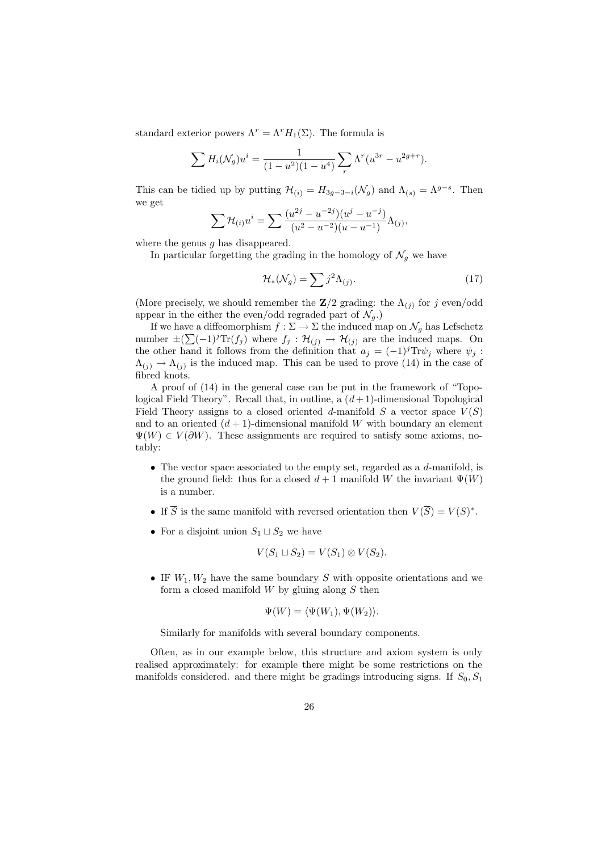standard exterior powers  $\Lambda^r = \Lambda^r H_1(\Sigma)$ . The formula is

$$
\sum H_i(\mathcal{N}_g)u^i = \frac{1}{(1 - u^2)(1 - u^4)} \sum_r \Lambda^r(u^{3r} - u^{2g+r}).
$$

This can be tidied up by putting  $\mathcal{H}_{(i)} = H_{3g-3-i}(\mathcal{N}_g)$  and  $\Lambda_{(s)} = \Lambda^{g-s}$ . Then we get

$$
\sum \mathcal{H}_{(i)} u^{i} = \sum \frac{(u^{2j} - u^{-2j})(u^{j} - u^{-j})}{(u^{2} - u^{-2})(u - u^{-1})} \Lambda_{(j)},
$$

where the genus  $q$  has disappeared.

In particular forgetting the grading in the homology of  $\mathcal{N}_g$  we have

$$
\mathcal{H}_*(\mathcal{N}_g) = \sum j^2 \Lambda_{(j)}.\tag{17}
$$

(More precisely, we should remember the  $\mathbb{Z}/2$  grading: the  $\Lambda_{(j)}$  for j even/odd appear in the either the even/odd regraded part of  $\mathcal{N}_q$ .)

If we have a diffeomorphism  $f:\Sigma\to\Sigma$  the induced map on  $\mathcal{N}_g$  has Lefschetz number  $\pm(\sum (-1)^j \text{Tr}(f_j)$  where  $f_j : \mathcal{H}_{(j)} \to \mathcal{H}_{(j)}$  are the induced maps. On the other hand it follows from the definition that  $a_j = (-1)^j \text{Tr} \psi_j$  where  $\psi_j$ :  $\Lambda_{(j)} \to \Lambda_{(j)}$  is the induced map. This can be used to prove (14) in the case of fibred knots.

A proof of (14) in the general case can be put in the framework of "Topological Field Theory". Recall that, in outline, a  $(d+1)$ -dimensional Topological Field Theory assigns to a closed oriented d-manifold  $S$  a vector space  $V(S)$ and to an oriented  $(d+1)$ -dimensional manifold W with boundary an element  $\Psi(W) \in V(\partial W)$ . These assignments are required to satisfy some axioms, notably:

- The vector space associated to the empty set, regarded as a d-manifold, is the ground field: thus for a closed  $d+1$  manifold W the invariant  $\Psi(W)$ is a number.
- If  $\overline{S}$  is the same manifold with reversed orientation then  $V(\overline{S}) = V(S)^*$ .
- For a disjoint union  $S_1 \sqcup S_2$  we have

$$
V(S_1 \sqcup S_2) = V(S_1) \otimes V(S_2).
$$

• IF  $W_1, W_2$  have the same boundary S with opposite orientations and we form a closed manifold  $W$  by gluing along  $S$  then

$$
\Psi(W)=\langle \Psi(W_1), \Psi(W_2)\rangle.
$$

Similarly for manifolds with several boundary components.

Often, as in our example below, this structure and axiom system is only realised approximately: for example there might be some restrictions on the manifolds considered. and there might be gradings introducing signs. If  $S_0$ ,  $S_1$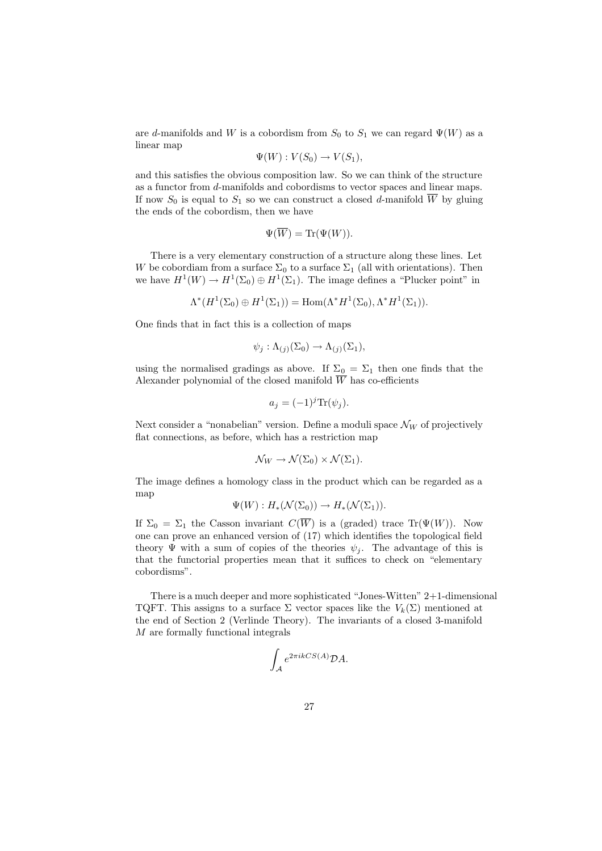are d-manifolds and W is a cobordism from  $S_0$  to  $S_1$  we can regard  $\Psi(W)$  as a linear map

$$
\Psi(W): V(S_0) \to V(S_1),
$$

and this satisfies the obvious composition law. So we can think of the structure as a functor from d-manifolds and cobordisms to vector spaces and linear maps. If now  $S_0$  is equal to  $S_1$  so we can construct a closed d-manifold  $\overline{W}$  by gluing the ends of the cobordism, then we have

$$
\Psi(\overline{W}) = \text{Tr}(\Psi(W)).
$$

There is a very elementary construction of a structure along these lines. Let W be cobordiam from a surface  $\Sigma_0$  to a surface  $\Sigma_1$  (all with orientations). Then we have  $H^1(W) \to H^1(\Sigma_0) \oplus H^1(\Sigma_1)$ . The image defines a "Plucker point" in

$$
\Lambda^*(H^1(\Sigma_0)\oplus H^1(\Sigma_1))=\text{Hom}(\Lambda^*H^1(\Sigma_0),\Lambda^*H^1(\Sigma_1)).
$$

One finds that in fact this is a collection of maps

$$
\psi_j : \Lambda_{(j)}(\Sigma_0) \to \Lambda_{(j)}(\Sigma_1),
$$

using the normalised gradings as above. If  $\Sigma_0 = \Sigma_1$  then one finds that the Alexander polynomial of the closed manifold  $\overline{W}$  has co-efficients

$$
a_j = (-1)^j \text{Tr}(\psi_j).
$$

Next consider a "nonabelian" version. Define a moduli space  $\mathcal{N}_W$  of projectively flat connections, as before, which has a restriction map

$$
\mathcal{N}_W \to \mathcal{N}(\Sigma_0) \times \mathcal{N}(\Sigma_1).
$$

The image defines a homology class in the product which can be regarded as a map

$$
\Psi(W): H_*(\mathcal{N}(\Sigma_0)) \to H_*(\mathcal{N}(\Sigma_1)).
$$

If  $\Sigma_0 = \Sigma_1$  the Casson invariant  $C(\overline{W})$  is a (graded) trace Tr( $\Psi(W)$ ). Now one can prove an enhanced version of (17) which identifies the topological field theory  $\Psi$  with a sum of copies of the theories  $\psi_j$ . The advantage of this is that the functorial properties mean that it suffices to check on "elementary cobordisms".

There is a much deeper and more sophisticated "Jones-Witten" 2+1-dimensional TQFT. This assigns to a surface  $\Sigma$  vector spaces like the  $V_k(\Sigma)$  mentioned at the end of Section 2 (Verlinde Theory). The invariants of a closed 3-manifold M are formally functional integrals

$$
\int_{\mathcal{A}} e^{2\pi i k CS(A)} \mathcal{D}A.
$$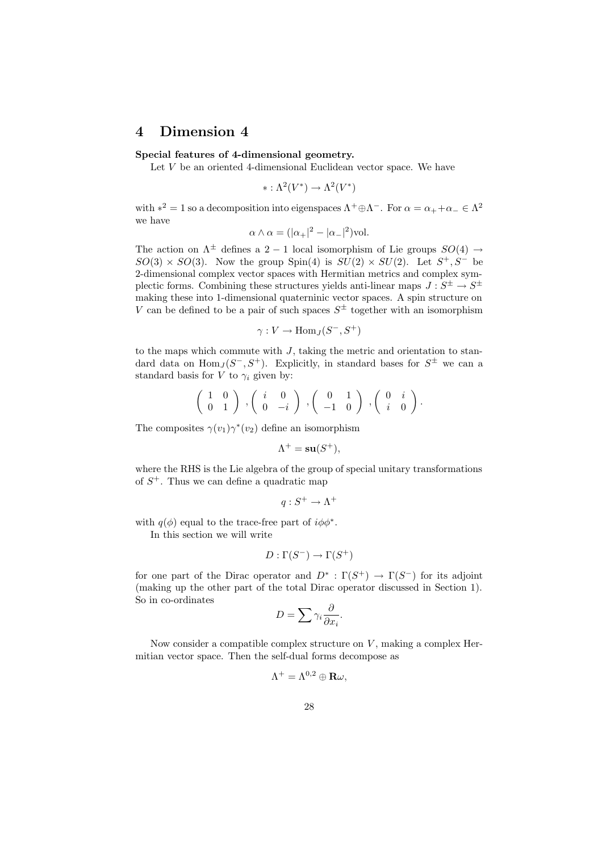## 4 Dimension 4

## Special features of 4-dimensional geometry.

Let  $V$  be an oriented 4-dimensional Euclidean vector space. We have

 $* : \Lambda^2(V^*) \to \Lambda^2(V^*)$ 

with  $*^2 = 1$  so a decomposition into eigenspaces  $\Lambda^+ \oplus \Lambda^-$ . For  $\alpha = \alpha_+ + \alpha_- \in \Lambda^2$ we have

$$
\alpha \wedge \alpha = (|\alpha_+|^2 - |\alpha_-|^2) \text{vol}.
$$

The action on  $\Lambda^{\pm}$  defines a 2 – 1 local isomorphism of Lie groups  $SO(4) \rightarrow$  $SO(3) \times SO(3)$ . Now the group Spin(4) is  $SU(2) \times SU(2)$ . Let  $S^+, S^-$  be 2-dimensional complex vector spaces with Hermitian metrics and complex symplectic forms. Combining these structures yields anti-linear maps  $J: S^{\pm} \to S^{\pm}$ making these into 1-dimensional quaterninic vector spaces. A spin structure on V can be defined to be a pair of such spaces  $S^{\pm}$  together with an isomorphism

$$
\gamma: V \to \text{Hom}_J(S^-, S^+)
$$

to the maps which commute with  $J$ , taking the metric and orientation to standard data on  $\text{Hom}_J(S^-, S^+)$ . Explicitly, in standard bases for  $S^{\pm}$  we can a standard basis for V to  $\gamma_i$  given by:

$$
\left(\begin{array}{cc}1&0\\0&1\end{array}\right)\;,\left(\begin{array}{cc}i&0\\0&-i\end{array}\right)\;,\left(\begin{array}{cc}0&1\\-1&0\end{array}\right)\;,\left(\begin{array}{cc}0&i\\i&0\end{array}\right).
$$

The composites  $\gamma(v_1)\gamma^*(v_2)$  define an isomorphism

$$
\Lambda^+ = \mathbf{su}(S^+),
$$

where the RHS is the Lie algebra of the group of special unitary transformations of  $S^+$ . Thus we can define a quadratic map

$$
q:S^+\to\Lambda^+
$$

with  $q(\phi)$  equal to the trace-free part of  $i\phi\phi^*$ .

In this section we will write

$$
D:\Gamma(S^-)\to\Gamma(S^+)
$$

for one part of the Dirac operator and  $D^*$ :  $\Gamma(S^+) \to \Gamma(S^-)$  for its adjoint (making up the other part of the total Dirac operator discussed in Section 1). So in co-ordinates

$$
D = \sum \gamma_i \frac{\partial}{\partial x_i}.
$$

Now consider a compatible complex structure on  $V$ , making a complex Hermitian vector space. Then the self-dual forms decompose as

$$
\Lambda^+ = \Lambda^{0,2} \oplus \mathbf{R} \omega,
$$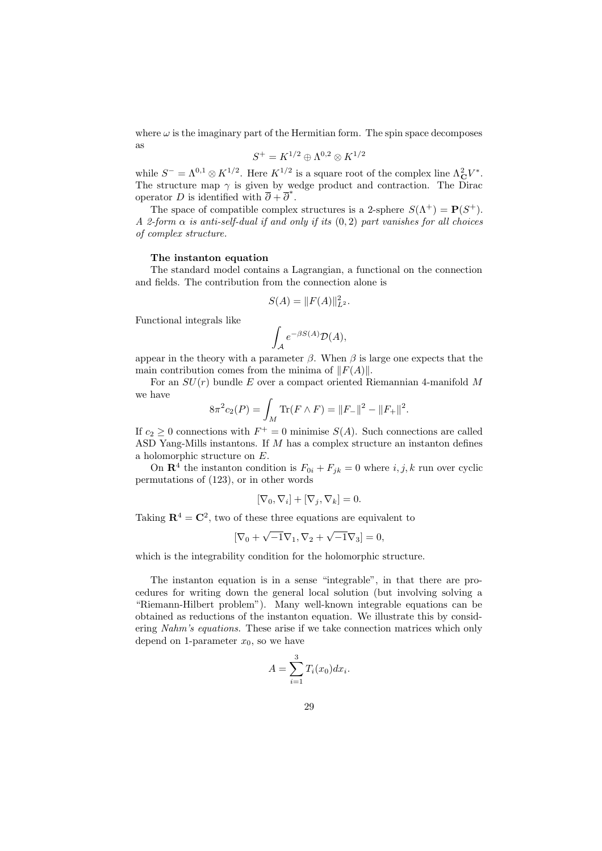where  $\omega$  is the imaginary part of the Hermitian form. The spin space decomposes as

$$
S^+ = K^{1/2} \oplus \Lambda^{0,2} \otimes K^{1/2}
$$

while  $S^- = \Lambda^{0,1} \otimes K^{1/2}$ . Here  $K^{1/2}$  is a square root of the complex line  $\Lambda^2_{\mathbf{C}} V^*$ . The structure map  $\gamma$  is given by wedge product and contraction. The Dirac operator D is identified with  $\overline{\partial} + \overline{\partial}^*$ .

The space of compatible complex structures is a 2-sphere  $S(\Lambda^+) = P(S^+)$ . A 2-form  $\alpha$  is anti-self-dual if and only if its  $(0, 2)$  part vanishes for all choices of complex structure.

## The instanton equation

The standard model contains a Lagrangian, a functional on the connection and fields. The contribution from the connection alone is

$$
S(A) = ||F(A)||_{L^2}^2.
$$

Functional integrals like

$$
\int_{\mathcal{A}} e^{-\beta S(A)} \mathcal{D}(A),
$$

appear in the theory with a parameter  $\beta$ . When  $\beta$  is large one expects that the main contribution comes from the minima of  $||F(A)||$ .

For an  $SU(r)$  bundle E over a compact oriented Riemannian 4-manifold M we have

$$
8\pi^{2}c_{2}(P) = \int_{M} \text{Tr}(F \wedge F) = ||F_{-}||^{2} - ||F_{+}||^{2}.
$$

If  $c_2 \geq 0$  connections with  $F^+ = 0$  minimise  $S(A)$ . Such connections are called ASD Yang-Mills instantons. If M has a complex structure an instanton defines a holomorphic structure on E.

On  $\mathbb{R}^4$  the instanton condition is  $F_{0i} + F_{jk} = 0$  where  $i, j, k$  run over cyclic permutations of (123), or in other words

$$
[\nabla_0, \nabla_i] + [\nabla_j, \nabla_k] = 0.
$$

Taking  $\mathbb{R}^4 = \mathbb{C}^2$ , two of these three equations are equivalent to

$$
[\nabla_0 + \sqrt{-1}\nabla_1, \nabla_2 + \sqrt{-1}\nabla_3] = 0,
$$

which is the integrability condition for the holomorphic structure.

The instanton equation is in a sense "integrable", in that there are procedures for writing down the general local solution (but involving solving a "Riemann-Hilbert problem"). Many well-known integrable equations can be obtained as reductions of the instanton equation. We illustrate this by considering Nahm's equations. These arise if we take connection matrices which only depend on 1-parameter  $x_0$ , so we have

$$
A = \sum_{i=1}^{3} T_i(x_0) dx_i.
$$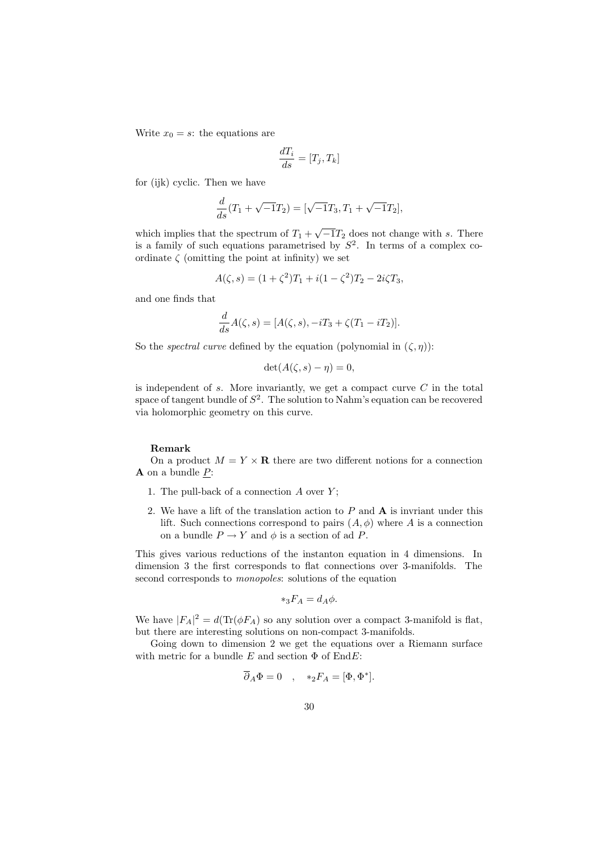Write  $x_0 = s$ : the equations are

$$
\frac{dT_i}{ds} = [T_j, T_k]
$$

for (ijk) cyclic. Then we have

$$
\frac{d}{ds}(T_1 + \sqrt{-1}T_2) = [\sqrt{-1}T_3, T_1 + \sqrt{-1}T_2],
$$

which implies that the spectrum of  $T_1 + \sqrt{-1}T_2$  does not change with s. There is a family of such equations parametrised by  $S^2$ . In terms of a complex coordinate  $\zeta$  (omitting the point at infinity) we set

$$
A(\zeta, s) = (1 + \zeta^2)T_1 + i(1 - \zeta^2)T_2 - 2i\zeta T_3,
$$

and one finds that

$$
\frac{d}{ds}A(\zeta,s) = [A(\zeta,s), -iT_3 + \zeta(T_1 - iT_2)].
$$

So the *spectral curve* defined by the equation (polynomial in  $(\zeta, \eta)$ ):

$$
\det(A(\zeta,s)-\eta)=0,
$$

is independent of  $s$ . More invariantly, we get a compact curve  $C$  in the total space of tangent bundle of  $S^2$ . The solution to Nahm's equation can be recovered via holomorphic geometry on this curve.

#### Remark

On a product  $M = Y \times \mathbf{R}$  there are two different notions for a connection  $\bf{A}$  on a bundle  $P$ :

- 1. The pull-back of a connection  $A$  over  $Y$ ;
- 2. We have a lift of the translation action to  $P$  and  $\bf{A}$  is invriant under this lift. Such connections correspond to pairs  $(A, \phi)$  where A is a connection on a bundle  $P \to Y$  and  $\phi$  is a section of ad P.

This gives various reductions of the instanton equation in 4 dimensions. In dimension 3 the first corresponds to flat connections over 3-manifolds. The second corresponds to *monopoles*: solutions of the equation

$$
*_3F_A = d_A\phi.
$$

We have  $|F_A|^2 = d(\text{Tr}(\phi F_A))$  so any solution over a compact 3-manifold is flat, but there are interesting solutions on non-compact 3-manifolds.

Going down to dimension 2 we get the equations over a Riemann surface with metric for a bundle E and section  $\Phi$  of EndE:

$$
\overline{\partial}_A \Phi = 0 \quad , \quad *{}_2F_A = [\Phi, \Phi^*].
$$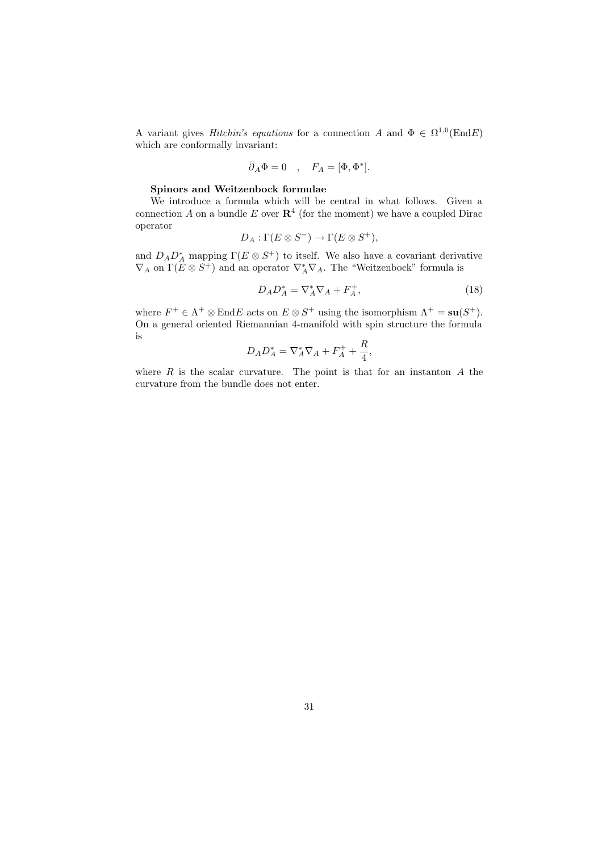A variant gives *Hitchin's equations* for a connection A and  $\Phi \in \Omega^{1,0}(\text{End }E)$ which are conformally invariant:

$$
\overline{\partial}_A \Phi = 0 \quad , \quad F_A = [\Phi, \Phi^*].
$$

## Spinors and Weitzenbock formulae

We introduce a formula which will be central in what follows. Given a connection A on a bundle E over  $\mathbb{R}^4$  (for the moment) we have a coupled Dirac operator

$$
D_A: \Gamma(E \otimes S^-) \to \Gamma(E \otimes S^+),
$$

and  $D_A D_A^*$  mapping  $\Gamma(E \otimes S^+)$  to itself. We also have a covariant derivative  $\nabla_A$  on  $\Gamma(E \otimes S^+)$  and an operator  $\nabla_A^* \nabla_A$ . The "Weitzenbock" formula is

$$
D_A D_A^* = \nabla_A^* \nabla_A + F_A^+, \tag{18}
$$

where  $F^+ \in \Lambda^+ \otimes \text{End}E$  acts on  $E \otimes S^+$  using the isomorphism  $\Lambda^+ = \mathbf{su}(S^+).$ On a general oriented Riemannian 4-manifold with spin structure the formula is R

$$
D_A D_A^* = \nabla_A^* \nabla_A + F_A^+ + \frac{R}{4},
$$

where  $R$  is the scalar curvature. The point is that for an instanton  $A$  the curvature from the bundle does not enter.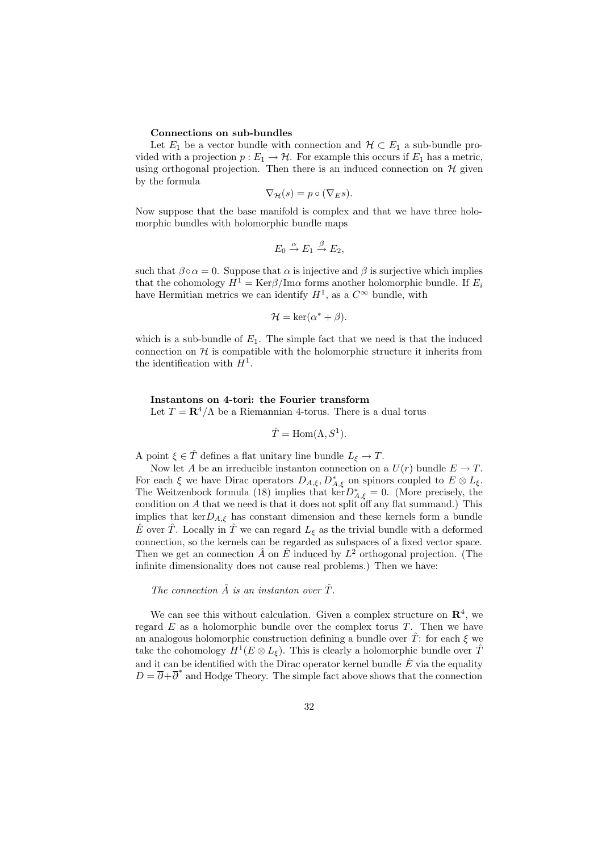### Connections on sub-bundles

Let  $E_1$  be a vector bundle with connection and  $\mathcal{H} \subset E_1$  a sub-bundle provided with a projection  $p: E_1 \to \mathcal{H}$ . For example this occurs if  $E_1$  has a metric, using orthogonal projection. Then there is an induced connection on  $H$  given by the formula

$$
\nabla_{\mathcal{H}}(s) = p \circ (\nabla_E s).
$$

Now suppose that the base manifold is complex and that we have three holomorphic bundles with holomorphic bundle maps

$$
E_0 \xrightarrow{\alpha} E_1 \xrightarrow{\beta} E_2,
$$

such that  $\beta \circ \alpha = 0$ . Suppose that  $\alpha$  is injective and  $\beta$  is surjective which implies that the cohomology  $H^1 = \text{Ker}\beta/\text{Im}\alpha$  forms another holomorphic bundle. If  $E_i$ have Hermitian metrics we can identify  $H^1$ , as a  $C^{\infty}$  bundle, with

$$
\mathcal{H} = \ker(\alpha^* + \beta).
$$

which is a sub-bundle of  $E_1$ . The simple fact that we need is that the induced connection on  $H$  is compatible with the holomorphic structure it inherits from the identification with  $H^1$ .

## Instantons on 4-tori: the Fourier transform

Let  $T = \mathbb{R}^4/\Lambda$  be a Riemannian 4-torus. There is a dual torus

$$
\hat{T} = \text{Hom}(\Lambda, S^1).
$$

A point  $\xi \in \hat{T}$  defines a flat unitary line bundle  $L_{\xi} \to T$ .

Now let A be an irreducible instanton connection on a  $U(r)$  bundle  $E \to T$ . For each  $\xi$  we have Dirac operators  $D_{A,\xi}, D_{A,\xi}^*$  on spinors coupled to  $E \otimes L_{\xi}$ . The Weitzenbock formula (18) implies that  $\ker D_{A,\xi}^* = 0$ . (More precisely, the condition on A that we need is that it does not split off any flat summand.) This implies that ker $D_{A,\xi}$  has constant dimension and these kernels form a bundle  $\hat{E}$  over  $\hat{T}$ . Locally in  $\hat{T}$  we can regard  $L_{\xi}$  as the trivial bundle with a deformed connection, so the kernels can be regarded as subspaces of a fixed vector space. Then we get an connection  $\hat{A}$  on  $\hat{E}$  induced by  $L^2$  orthogonal projection. (The infinite dimensionality does not cause real problems.) Then we have:

## The connection  $\hat{A}$  is an instanton over  $\hat{T}$ .

We can see this without calculation. Given a complex structure on  $\mathbb{R}^4$ , we regard  $E$  as a holomorphic bundle over the complex torus  $T$ . Then we have an analogous holomorphic construction defining a bundle over  $\hat{T}$ : for each  $\xi$  we take the cohomology  $H^1(E \otimes L_{\xi})$ . This is clearly a holomorphic bundle over  $\hat{T}$ and it can be identified with the Dirac operator kernel bundle  $\hat{E}$  via the equality  $D = \overline{\partial} + \overline{\partial}^*$  and Hodge Theory. The simple fact above shows that the connection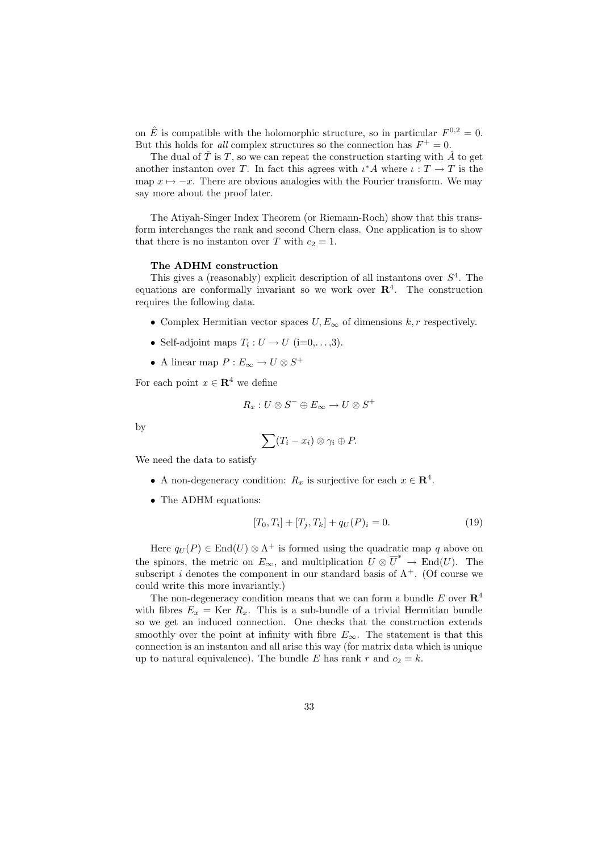on  $\hat{E}$  is compatible with the holomorphic structure, so in particular  $F^{0,2} = 0$ . But this holds for all complex structures so the connection has  $F^+ = 0$ .

The dual of  $\hat{T}$  is  $T$ , so we can repeat the construction starting with  $\hat{A}$  to get another instanton over T. In fact this agrees with  $\iota^* A$  where  $\iota : T \to T$  is the map  $x \mapsto -x$ . There are obvious analogies with the Fourier transform. We may say more about the proof later.

The Atiyah-Singer Index Theorem (or Riemann-Roch) show that this transform interchanges the rank and second Chern class. One application is to show that there is no instanton over T with  $c_2 = 1$ .

#### The ADHM construction

This gives a (reasonably) explicit description of all instantons over  $S<sup>4</sup>$ . The equations are conformally invariant so we work over  $\mathbb{R}^4$ . The construction requires the following data.

- Complex Hermitian vector spaces  $U, E_{\infty}$  of dimensions  $k, r$  respectively.
- Self-adjoint maps  $T_i: U \to U$  (i=0,...,3).
- A linear map  $P: E_\infty \to U \otimes S^+$

For each point  $x \in \mathbb{R}^4$  we define

$$
R_x: U \otimes S^- \oplus E_\infty \to U \otimes S^+
$$

by

$$
\sum (T_i - x_i) \otimes \gamma_i \oplus P.
$$

We need the data to satisfy

- A non-degeneracy condition:  $R_x$  is surjective for each  $x \in \mathbb{R}^4$ .
- The ADHM equations:

$$
[T_0, T_i] + [T_j, T_k] + q_U(P)_i = 0.
$$
\n(19)

Here  $q_U(P) \in \text{End}(U) \otimes \Lambda^+$  is formed using the quadratic map q above on the spinors, the metric on  $E_{\infty}$ , and multiplication  $U \otimes \overline{U}^* \to \text{End}(U)$ . The subscript i denotes the component in our standard basis of  $\Lambda^+$ . (Of course we could write this more invariantly.)

The non-degeneracy condition means that we can form a bundle  $E$  over  $\mathbb{R}^4$ with fibres  $E_x = \text{Ker } R_x$ . This is a sub-bundle of a trivial Hermitian bundle so we get an induced connection. One checks that the construction extends smoothly over the point at infinity with fibre  $E_{\infty}$ . The statement is that this connection is an instanton and all arise this way (for matrix data which is unique up to natural equivalence). The bundle E has rank r and  $c_2 = k$ .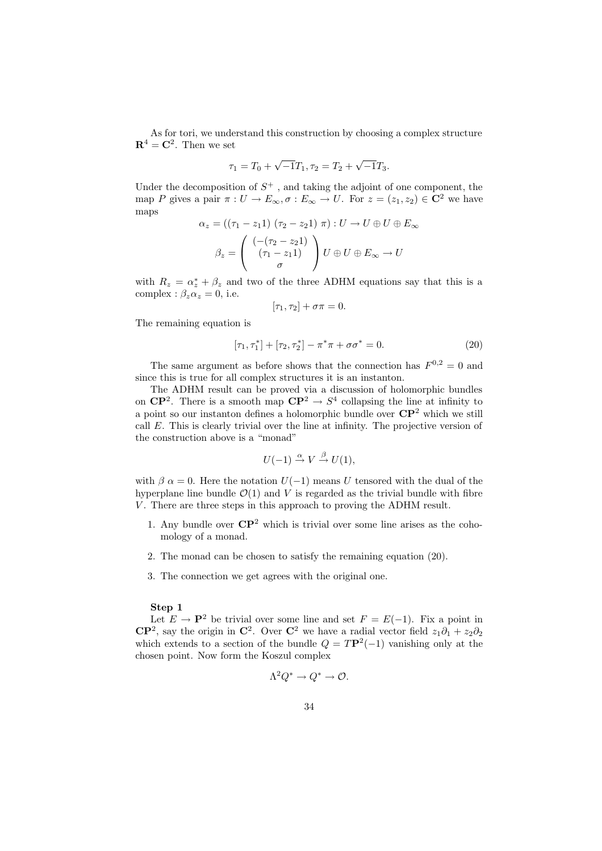As for tori, we understand this construction by choosing a complex structure  $\mathbf{R}^4 = \mathbf{C}^2$ . Then we set

$$
\tau_1 = T_0 + \sqrt{-1}T_1, \tau_2 = T_2 + \sqrt{-1}T_3.
$$

Under the decomposition of  $S^+$ , and taking the adjoint of one component, the map P gives a pair  $\pi: U \to E_{\infty}, \sigma: E_{\infty} \to U$ . For  $z = (z_1, z_2) \in \mathbb{C}^2$  we have maps

$$
\alpha_z = ((\tau_1 - z_1 1) (\tau_2 - z_2 1) \pi) : U \to U \oplus U \oplus E_{\infty}
$$

$$
\beta_z = \begin{pmatrix} (-(\tau_2 - z_2 1) \\ (\tau_1 - z_1 1) \\ \sigma \end{pmatrix} U \oplus U \oplus E_{\infty} \to U
$$

with  $R_z = \alpha_z^* + \beta_z$  and two of the three ADHM equations say that this is a complex :  $\beta_z \alpha_z = 0$ , i.e.

$$
[\tau_1, \tau_2] + \sigma \pi = 0.
$$

The remaining equation is

$$
[\tau_1, \tau_1^*] + [\tau_2, \tau_2^*] - \pi^* \pi + \sigma \sigma^* = 0.
$$
 (20)

The same argument as before shows that the connection has  $F^{0,2} = 0$  and since this is true for all complex structures it is an instanton.

The ADHM result can be proved via a discussion of holomorphic bundles on  $\mathbb{C}P^2$ . There is a smooth map  $\mathbb{C}P^2 \to S^4$  collapsing the line at infinity to a point so our instanton defines a holomorphic bundle over  $\mathbb{CP}^2$  which we still call E. This is clearly trivial over the line at infinity. The projective version of the construction above is a "monad"

$$
U(-1) \stackrel{\alpha}{\rightarrow} V \stackrel{\beta}{\rightarrow} U(1),
$$

with  $\beta \alpha = 0$ . Here the notation  $U(-1)$  means U tensored with the dual of the hyperplane line bundle  $\mathcal{O}(1)$  and V is regarded as the trivial bundle with fibre V. There are three steps in this approach to proving the ADHM result.

- 1. Any bundle over  $\mathbb{CP}^2$  which is trivial over some line arises as the cohomology of a monad.
- 2. The monad can be chosen to satisfy the remaining equation (20).
- 3. The connection we get agrees with the original one.

## Step 1

Let  $E \to \mathbf{P}^2$  be trivial over some line and set  $F = E(-1)$ . Fix a point in  $\mathbb{C}\mathbb{P}^2$ , say the origin in  $\mathbb{C}^2$ . Over  $\mathbb{C}^2$  we have a radial vector field  $z_1\partial_1 + z_2\partial_2$ which extends to a section of the bundle  $Q = T\mathbf{P}^2(-1)$  vanishing only at the chosen point. Now form the Koszul complex

$$
\Lambda^2 Q^* \to Q^* \to \mathcal{O}.
$$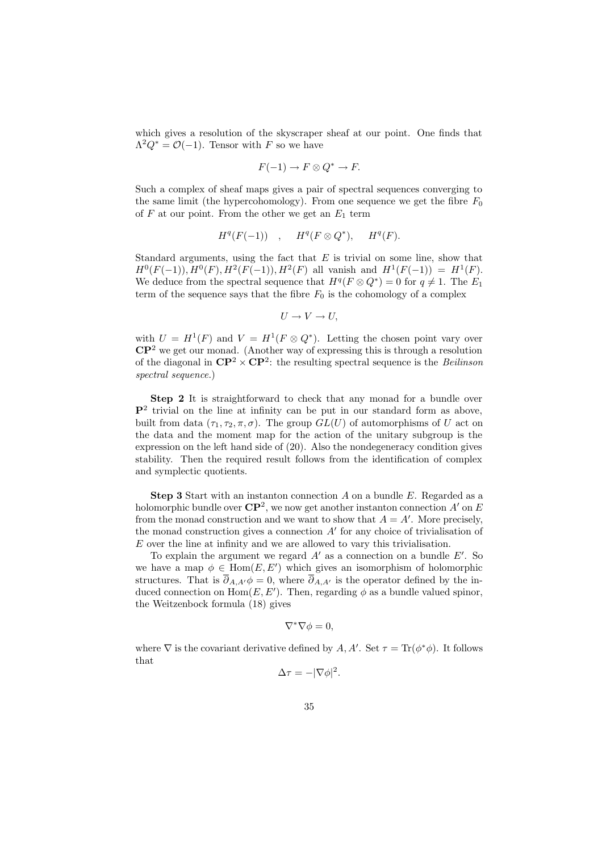which gives a resolution of the skyscraper sheaf at our point. One finds that  $\Lambda^2 Q^* = \mathcal{O}(-1)$ . Tensor with F so we have

$$
F(-1) \to F \otimes Q^* \to F.
$$

Such a complex of sheaf maps gives a pair of spectral sequences converging to the same limit (the hypercohomology). From one sequence we get the fibre  $F_0$ of  $F$  at our point. From the other we get an  $E_1$  term

$$
H^q(F(-1)) \quad , \quad H^q(F \otimes Q^*), \quad H^q(F).
$$

Standard arguments, using the fact that  $E$  is trivial on some line, show that  $H^0(F(-1)), H^0(F), H^2(F(-1)), H^2(F)$  all vanish and  $H^1(F(-1)) = H^1(F)$ . We deduce from the spectral sequence that  $H^q(F \otimes Q^*) = 0$  for  $q \neq 1$ . The  $E_1$ term of the sequence says that the fibre  $F_0$  is the cohomology of a complex

$$
U \to V \to U,
$$

with  $U = H^1(F)$  and  $V = H^1(F \otimes Q^*)$ . Letting the chosen point vary over  $\mathbb{C}\mathbb{P}^2$  we get our monad. (Another way of expressing this is through a resolution of the diagonal in  $\mathbb{CP}^2 \times \mathbb{CP}^2$ : the resulting spectral sequence is the Beilinson spectral sequence.)

Step 2 It is straightforward to check that any monad for a bundle over  $\mathbf{P}^2$  trivial on the line at infinity can be put in our standard form as above, built from data  $(\tau_1, \tau_2, \pi, \sigma)$ . The group  $GL(U)$  of automorphisms of U act on the data and the moment map for the action of the unitary subgroup is the expression on the left hand side of (20). Also the nondegeneracy condition gives stability. Then the required result follows from the identification of complex and symplectic quotients.

**Step 3** Start with an instanton connection  $A$  on a bundle  $E$ . Regarded as a holomorphic bundle over  $\mathbb{CP}^2$ , we now get another instanton connection A' on E from the monad construction and we want to show that  $A = A'$ . More precisely, the monad construction gives a connection  $A'$  for any choice of trivialisation of E over the line at infinity and we are allowed to vary this trivialisation.

To explain the argument we regard  $A'$  as a connection on a bundle  $E'$ . So we have a map  $\phi \in \text{Hom}(E, E')$  which gives an isomorphism of holomorphic structures. That is  $\overline{\partial}_{A,A'}\phi=0$ , where  $\overline{\partial}_{A,A'}$  is the operator defined by the induced connection on  $Hom(E, E')$ . Then, regarding  $\phi$  as a bundle valued spinor, the Weitzenbock formula (18) gives

$$
\nabla^* \nabla \phi = 0,
$$

where  $\nabla$  is the covariant derivative defined by A, A'. Set  $\tau = \text{Tr}(\phi^*\phi)$ . It follows that

$$
\Delta \tau = -|\nabla \phi|^2.
$$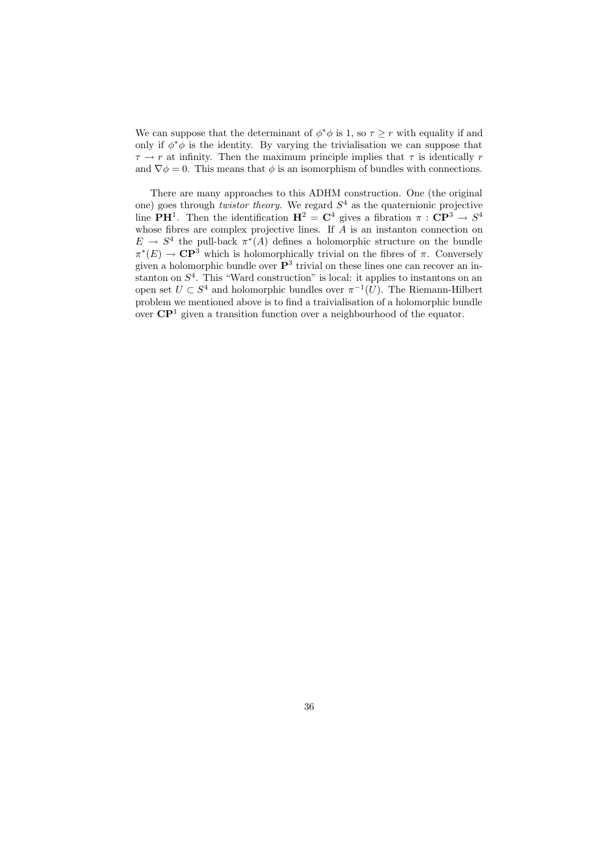We can suppose that the determinant of  $\phi^*\phi$  is 1, so  $\tau \geq r$  with equality if and only if  $\phi^*\phi$  is the identity. By varying the trivialisation we can suppose that  $\tau \to r$  at infinity. Then the maximum principle implies that  $\tau$  is identically r and  $\nabla \phi = 0$ . This means that  $\phi$  is an isomorphism of bundles with connections.

There are many approaches to this ADHM construction. One (the original one) goes through *twistor theory*. We regard  $S<sup>4</sup>$  as the quaternionic projective line PH<sup>1</sup>. Then the identification  $H^2 = C^4$  gives a fibration  $\pi : CP^{3} \rightarrow S^4$ whose fibres are complex projective lines. If  $\tilde{A}$  is an instanton connection on  $E \to S^4$  the pull-back  $\pi^*(A)$  defines a holomorphic structure on the bundle  $\pi^*(E) \to \mathbb{C}P^3$  which is holomorphically trivial on the fibres of  $\pi$ . Conversely given a holomorphic bundle over  $\mathbf{P}^3$  trivial on these lines one can recover an instanton on  $S<sup>4</sup>$ . This "Ward construction" is local: it applies to instantons on an open set  $U \subset S^4$  and holomorphic bundles over  $\pi^{-1}(U)$ . The Riemann-Hilbert problem we mentioned above is to find a traivialisation of a holomorphic bundle over  $\mathbb{C}\mathbb{P}^1$  given a transition function over a neighbourhood of the equator.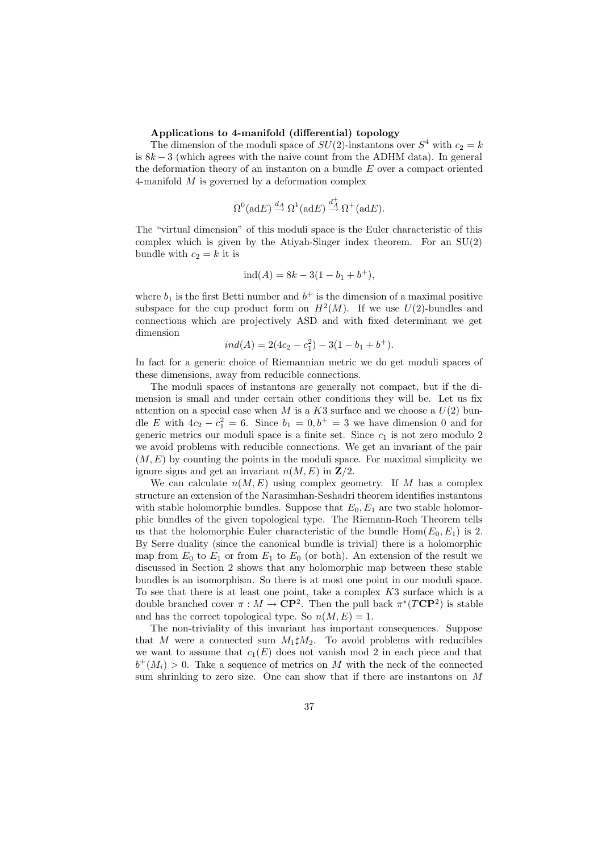## Applications to 4-manifold (differential) topology

The dimension of the moduli space of  $SU(2)$ -instantons over  $S<sup>4</sup>$  with  $c_2 = k$ is  $8k-3$  (which agrees with the naive count from the ADHM data). In general the deformation theory of an instanton on a bundle  $E$  over a compact oriented 4-manifold  $M$  is governed by a deformation complex

$$
\Omega^0(\text{ad}E) \stackrel{d_A}{\rightarrow} \Omega^1(\text{ad}E) \stackrel{d_A^+}{\rightarrow} \Omega^+(\text{ad}E).
$$

The "virtual dimension" of this moduli space is the Euler characteristic of this complex which is given by the Atiyah-Singer index theorem. For an  $SU(2)$ bundle with  $c_2 = k$  it is

$$
ind(A) = 8k - 3(1 - b1 + b+),
$$

where  $b_1$  is the first Betti number and  $b^+$  is the dimension of a maximal positive subspace for the cup product form on  $H^2(M)$ . If we use  $U(2)$ -bundles and connections which are projectively ASD and with fixed determinant we get dimension

$$
ind(A) = 2(4c_2 - c_1^2) - 3(1 - b_1 + b^+).
$$

In fact for a generic choice of Riemannian metric we do get moduli spaces of these dimensions, away from reducible connections.

The moduli spaces of instantons are generally not compact, but if the dimension is small and under certain other conditions they will be. Let us fix attention on a special case when M is a K3 surface and we choose a  $U(2)$  bundle E with  $4c_2 - c_1^2 = 6$ . Since  $b_1 = 0, b^+ = 3$  we have dimension 0 and for generic metrics our moduli space is a finite set. Since  $c_1$  is not zero modulo 2 we avoid problems with reducible connections. We get an invariant of the pair  $(M, E)$  by counting the points in the moduli space. For maximal simplicity we ignore signs and get an invariant  $n(M, E)$  in  $\mathbb{Z}/2$ .

We can calculate  $n(M, E)$  using complex geometry. If M has a complex structure an extension of the Narasimhan-Seshadri theorem identifies instantons with stable holomorphic bundles. Suppose that  $E_0, E_1$  are two stable holomorphic bundles of the given topological type. The Riemann-Roch Theorem tells us that the holomorphic Euler characteristic of the bundle  $Hom(E_0, E_1)$  is 2. By Serre duality (since the canonical bundle is trivial) there is a holomorphic map from  $E_0$  to  $E_1$  or from  $E_1$  to  $E_0$  (or both). An extension of the result we discussed in Section 2 shows that any holomorphic map between these stable bundles is an isomorphism. So there is at most one point in our moduli space. To see that there is at least one point, take a complex K3 surface which is a double branched cover  $\pi : M \to \mathbb{C}\mathbb{P}^2$ . Then the pull back  $\pi^*(T\mathbb{C}\mathbb{P}^2)$  is stable and has the correct topological type. So  $n(M, E) = 1$ .

The non-triviality of this invariant has important consequences. Suppose that M were a connected sum  $M_1 \sharp M_2$ . To avoid problems with reducibles we want to assume that  $c_1(E)$  does not vanish mod 2 in each piece and that  $b^+(M_i) > 0$ . Take a sequence of metrics on M with the neck of the connected sum shrinking to zero size. One can show that if there are instantons on M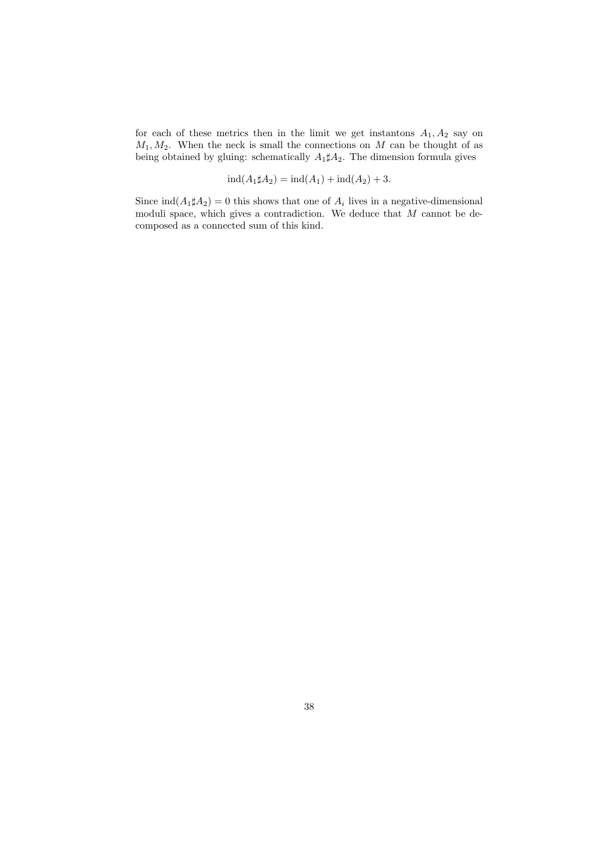for each of these metrics then in the limit we get instantons  $A_1, A_2$  say on  $M_1, M_2$ . When the neck is small the connections on M can be thought of as being obtained by gluing: schematically  $A_1 \sharp A_2$ . The dimension formula gives

$$
ind(A_1 \sharp A_2) = ind(A_1) + ind(A_2) + 3.
$$

Since  $\text{ind}(A_1 \sharp A_2) = 0$  this shows that one of  $A_i$  lives in a negative-dimensional moduli space, which gives a contradiction. We deduce that  $M$  cannot be decomposed as a connected sum of this kind.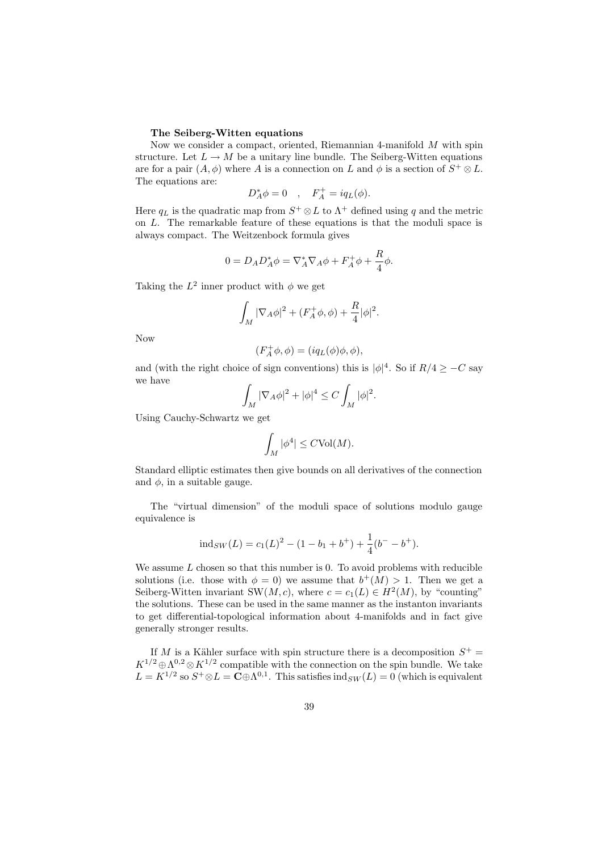#### The Seiberg-Witten equations

Now we consider a compact, oriented, Riemannian 4-manifold  $M$  with spin structure. Let  $L \to M$  be a unitary line bundle. The Seiberg-Witten equations are for a pair  $(A, \phi)$  where A is a connection on L and  $\phi$  is a section of  $S^+ \otimes L$ . The equations are:

$$
D_A^* \phi = 0 \quad , \quad F_A^+ = iq_L(\phi).
$$

Here  $q_L$  is the quadratic map from  $S^+ \otimes L$  to  $\Lambda^+$  defined using q and the metric on L. The remarkable feature of these equations is that the moduli space is always compact. The Weitzenbock formula gives

$$
0 = D_A D_A^* \phi = \nabla_A^* \nabla_A \phi + F_A^+ \phi + \frac{R}{4} \phi.
$$

Taking the  $L^2$  inner product with  $\phi$  we get

$$
\int_M |\nabla_A \phi|^2 + (F_A^+ \phi, \phi) + \frac{R}{4} |\phi|^2.
$$

Now

$$
(F_A^+ \phi, \phi) = (iq_L(\phi)\phi, \phi),
$$

and (with the right choice of sign conventions) this is  $|\phi|^4$ . So if  $R/4 \geq -C$  say we have

$$
\int_M |\nabla_A \phi|^2 + |\phi|^4 \le C \int_M |\phi|^2.
$$

Using Cauchy-Schwartz we get

$$
\int_M |\phi^4| \leq C \text{Vol}(M).
$$

Standard elliptic estimates then give bounds on all derivatives of the connection and  $\phi$ , in a suitable gauge.

The "virtual dimension" of the moduli space of solutions modulo gauge equivalence is

$$
ind_{SW}(L) = c_1(L)^2 - (1 - b_1 + b^+) + \frac{1}{4}(b^- - b^+).
$$

We assume  $L$  chosen so that this number is 0. To avoid problems with reducible solutions (i.e. those with  $\phi = 0$ ) we assume that  $b^+(M) > 1$ . Then we get a Seiberg-Witten invariant SW(M, c), where  $c = c_1(L) \in H^2(M)$ , by "counting" the solutions. These can be used in the same manner as the instanton invariants to get differential-topological information about 4-manifolds and in fact give generally stronger results.

If M is a Kähler surface with spin structure there is a decomposition  $S^+$  =  $K^{1/2} \oplus \Lambda^{0,2} \otimes K^{1/2}$  compatible with the connection on the spin bundle. We take  $L = K^{1/2}$  so  $S^+ \otimes L = \mathbb{C} \oplus \Lambda^{0,1}$ . This satisfies  $\text{ind}_{SW}(L) = 0$  (which is equivalent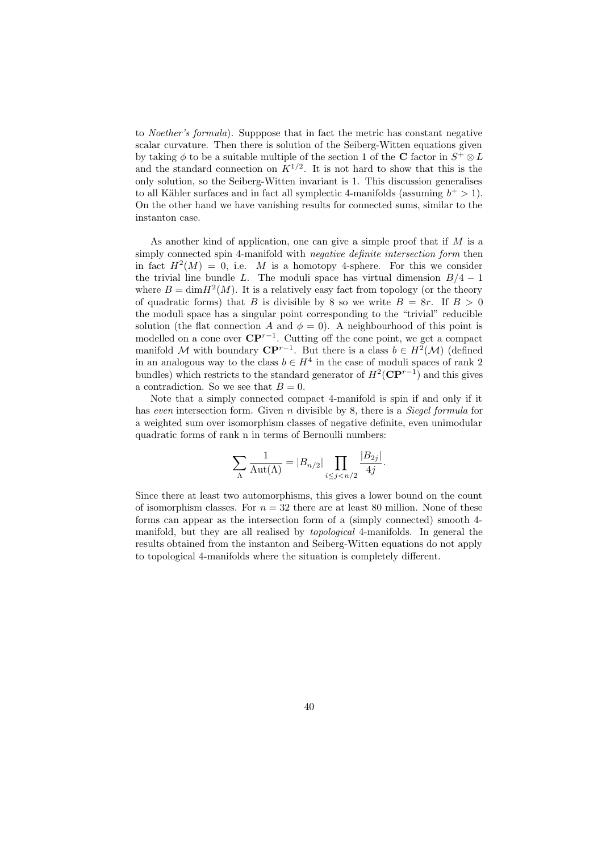to Noether's formula). Supppose that in fact the metric has constant negative scalar curvature. Then there is solution of the Seiberg-Witten equations given by taking  $\phi$  to be a suitable multiple of the section 1 of the **C** factor in  $S^+ \otimes L$ and the standard connection on  $K^{1/2}$ . It is not hard to show that this is the only solution, so the Seiberg-Witten invariant is 1. This discussion generalises to all Kähler surfaces and in fact all symplectic 4-manifolds (assuming  $b^+ > 1$ ). On the other hand we have vanishing results for connected sums, similar to the instanton case.

As another kind of application, one can give a simple proof that if  $M$  is a simply connected spin 4-manifold with negative definite intersection form then in fact  $H^2(M) = 0$ , i.e. M is a homotopy 4-sphere. For this we consider the trivial line bundle L. The moduli space has virtual dimension  $B/4 - 1$ where  $B = \dim H^2(M)$ . It is a relatively easy fact from topology (or the theory of quadratic forms) that B is divisible by 8 so we write  $B = 8r$ . If  $B > 0$ the moduli space has a singular point corresponding to the "trivial" reducible solution (the flat connection A and  $\phi = 0$ ). A neighbourhood of this point is modelled on a cone over  $\mathbb{C}\mathbb{P}^{r-1}$ . Cutting off the cone point, we get a compact manifold M with boundary  $\mathbb{CP}^{r-1}$ . But there is a class  $b \in H^2(\mathcal{M})$  (defined in an analogous way to the class  $b \in H^4$  in the case of moduli spaces of rank 2 bundles) which restricts to the standard generator of  $H^2(\mathbf{C}\mathbf{P}^{r-1})$  and this gives a contradiction. So we see that  $B = 0$ .

Note that a simply connected compact 4-manifold is spin if and only if it has even intersection form. Given n divisible by 8, there is a *Siegel formula* for a weighted sum over isomorphism classes of negative definite, even unimodular quadratic forms of rank n in terms of Bernoulli numbers:

$$
\sum_{\Lambda} \frac{1}{\mathrm{Aut}(\Lambda)} = |B_{n/2}| \prod_{i \le j < n/2} \frac{|B_{2j}|}{4j}.
$$

Since there at least two automorphisms, this gives a lower bound on the count of isomorphism classes. For  $n = 32$  there are at least 80 million. None of these forms can appear as the intersection form of a (simply connected) smooth 4 manifold, but they are all realised by topological 4-manifolds. In general the results obtained from the instanton and Seiberg-Witten equations do not apply to topological 4-manifolds where the situation is completely different.